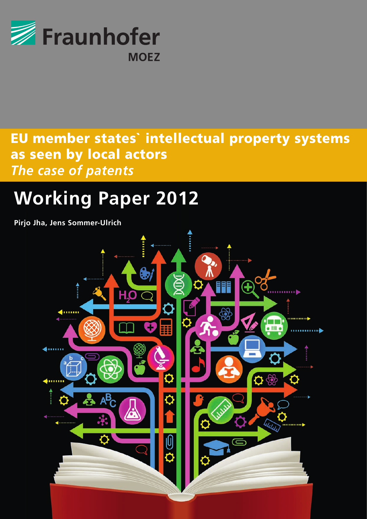

# as seen by local actors<br>The case of natents EU member states` intellectual property systems *The case of patents*

## Photovoltaic Energy Market **Working Paper 2012**

**Pirjo Jha, Jens Sommer-Ulrich**

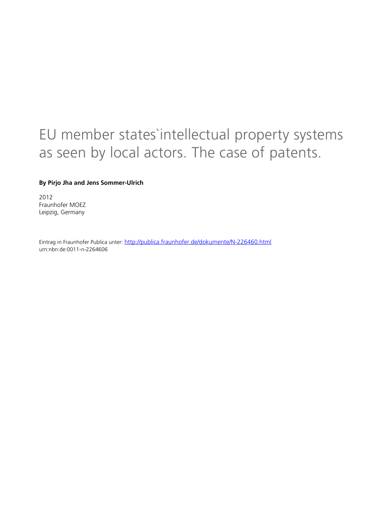# EU member states`intellectual property systems as seen by local actors. The case of patents.

#### **By Pirjo Jha and Jens Sommer-Ulrich**

2012 Fraunhofer MOEZ Leipzig, Germany

Eintrag in Fraunhofer Publica unter: <http://publica.fraunhofer.de/dokumente/N-226460.html> urn:nbn:de:0011-n-2264606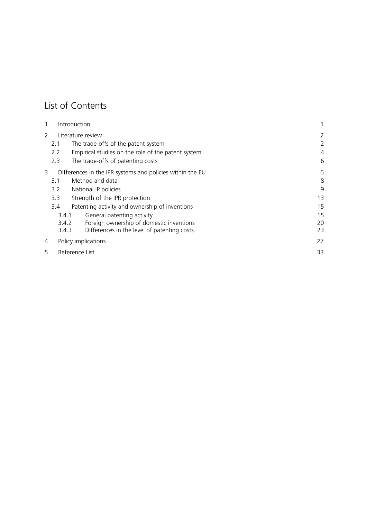### List of Contents

|               |                | Introduction                                              |    |  |  |  |  |
|---------------|----------------|-----------------------------------------------------------|----|--|--|--|--|
| $\mathcal{P}$ |                | Literature review                                         |    |  |  |  |  |
|               | 2.1            | The trade-offs of the patent system                       | 2  |  |  |  |  |
|               | 2.2            | Empirical studies on the role of the patent system        | 4  |  |  |  |  |
|               | 2.3            | The trade-offs of patenting costs                         | 6  |  |  |  |  |
| 3             |                | Differences in the IPR systems and policies within the EU | 6  |  |  |  |  |
|               | 3.1            | Method and data                                           | 8  |  |  |  |  |
|               | 3.2            | National IP policies                                      | 9  |  |  |  |  |
|               | 3.3            | Strength of the IPR protection                            | 13 |  |  |  |  |
|               | 3.4            | Patenting activity and ownership of inventions            | 15 |  |  |  |  |
|               | 3.4.1          | General patenting activity                                | 15 |  |  |  |  |
|               | 3.4.2          | Foreign ownership of domestic inventions                  | 20 |  |  |  |  |
|               | 3.4.3          | Differences in the level of patenting costs               | 23 |  |  |  |  |
| 4             |                | Policy implications                                       | 27 |  |  |  |  |
| 5             | Reference List |                                                           |    |  |  |  |  |
|               |                |                                                           |    |  |  |  |  |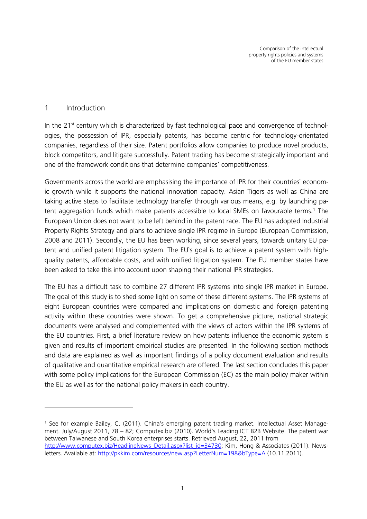#### 1 Introduction

<u>.</u>

In the 21<sup>st</sup> century which is characterized by fast technological pace and convergence of technologies, the possession of IPR, especially patents, has become centric for technology-orientated companies, regardless of their size. Patent portfolios allow companies to produce novel products, block competitors, and litigate successfully. Patent trading has become strategically important and one of the framework conditions that determine companies' competitiveness.

Governments across the world are emphasising the importance of IPR for their countries` economic growth while it supports the national innovation capacity. Asian Tigers as well as China are taking active steps to facilitate technology transfer through various means, e.g. by launching patent aggregation funds which make patents accessible to local SMEs on favourable terms. [1](#page-3-0) The European Union does not want to be left behind in the patent race. The EU has adopted Industrial Property Rights Strategy and plans to achieve single IPR regime in Europe (European Commission, 2008 and 2011). Secondly, the EU has been working, since several years, towards unitary EU patent and unified patent litigation system. The EU`s goal is to achieve a patent system with highquality patents, affordable costs, and with unified litigation system. The EU member states have been asked to take this into account upon shaping their national IPR strategies.

The EU has a difficult task to combine 27 different IPR systems into single IPR market in Europe. The goal of this study is to shed some light on some of these different systems. The IPR systems of eight European countries were compared and implications on domestic and foreign patenting activity within these countries were shown. To get a comprehensive picture, national strategic documents were analysed and complemented with the views of actors within the IPR systems of the EU countries. First, a brief literature review on how patents influence the economic system is given and results of important empirical studies are presented. In the following section methods and data are explained as well as important findings of a policy document evaluation and results of qualitative and quantitative empirical research are offered. The last section concludes this paper with some policy implications for the European Commission (EC) as the main policy maker within the EU as well as for the national policy makers in each country.

<span id="page-3-0"></span><sup>1</sup> See for example Bailey, C. (2011). China's emerging patent trading market. Intellectual Asset Management. July/August 2011, 78 – 82; Computex.biz (2010). World's Leading ICT B2B Website. The patent war between Taiwanese and South Korea enterprises starts. Retrieved August, 22, 2011 from [http://www.computex.biz/HeadlineNews\\_Detail.aspx?list\\_id=34730;](http://www.computex.biz/HeadlineNews_Detail.aspx?list_id=34730) Kim, Hong & Associates (2011). Newsletters. Available at:<http://pkkim.com/resources/new.asp?LetterNum=198&bType=A> (10.11.2011).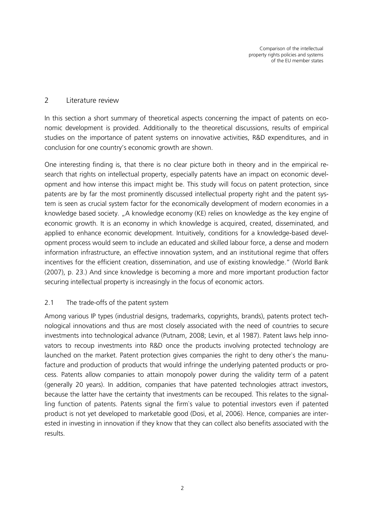#### 2 Literature review

In this section a short summary of theoretical aspects concerning the impact of patents on economic development is provided. Additionally to the theoretical discussions, results of empirical studies on the importance of patent systems on innovative activities, R&D expenditures, and in conclusion for one country's economic growth are shown.

One interesting finding is, that there is no clear picture both in theory and in the empirical research that rights on intellectual property, especially patents have an impact on economic development and how intense this impact might be. This study will focus on patent protection, since patents are by far the most prominently discussed intellectual property right and the patent system is seen as crucial system factor for the economically development of modern economies in a knowledge based society. "A knowledge economy (KE) relies on knowledge as the key engine of economic growth. It is an economy in which knowledge is acquired, created, disseminated, and applied to enhance economic development. Intuitively, conditions for a knowledge-based development process would seem to include an educated and skilled labour force, a dense and modern information infrastructure, an effective innovation system, and an institutional regime that offers incentives for the efficient creation, dissemination, and use of existing knowledge." (World Bank (2007), p. 23.) And since knowledge is becoming a more and more important production factor securing intellectual property is increasingly in the focus of economic actors.

#### 2.1 The trade-offs of the patent system

Among various IP types (industrial designs, trademarks, copyrights, brands), patents protect technological innovations and thus are most closely associated with the need of countries to secure investments into technological advance (Putnam, 2008; Levin, et al 1987). Patent laws help innovators to recoup investments into R&D once the products involving protected technology are launched on the market. Patent protection gives companies the right to deny other`s the manufacture and production of products that would infringe the underlying patented products or process. Patents allow companies to attain monopoly power during the validity term of a patent (generally 20 years). In addition, companies that have patented technologies attract investors, because the latter have the certainty that investments can be recouped. This relates to the signalling function of patents. Patents signal the firm`s value to potential investors even if patented product is not yet developed to marketable good (Dosi, et al, 2006). Hence, companies are interested in investing in innovation if they know that they can collect also benefits associated with the results.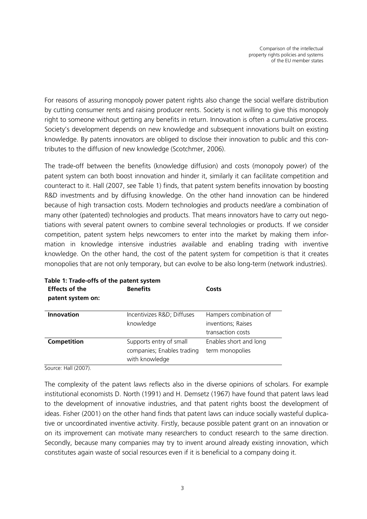For reasons of assuring monopoly power patent rights also change the social welfare distribution by cutting consumer rents and raising producer rents. Society is not willing to give this monopoly right to someone without getting any benefits in return. Innovation is often a cumulative process. Society's development depends on new knowledge and subsequent innovations built on existing knowledge. By patents innovators are obliged to disclose their innovation to public and this contributes to the diffusion of new knowledge (Scotchmer, 2006).

The trade-off between the benefits (knowledge diffusion) and costs (monopoly power) of the patent system can both boost innovation and hinder it, similarly it can facilitate competition and counteract to it. Hall (2007, see [Table 1\)](#page-5-0) finds, that patent system benefits innovation by boosting R&D investments and by diffusing knowledge. On the other hand innovation can be hindered because of high transaction costs. Modern technologies and products need/are a combination of many other (patented) technologies and products. That means innovators have to carry out negotiations with several patent owners to combine several technologies or products. If we consider competition, patent system helps newcomers to enter into the market by making them information in knowledge intensive industries available and enabling trading with inventive knowledge. On the other hand, the cost of the patent system for competition is that it creates monopolies that are not only temporary, but can evolve to be also long-term (network industries).

<span id="page-5-0"></span>

| Table 1: Trade-offs of the patent system<br><b>Effects of the</b><br>patent system on: | <b>Benefits</b>                                                         | Costs                                                             |
|----------------------------------------------------------------------------------------|-------------------------------------------------------------------------|-------------------------------------------------------------------|
| <b>Innovation</b>                                                                      | Incentivizes R&D Diffuses<br>knowledge                                  | Hampers combination of<br>inventions; Raises<br>transaction costs |
| Competition                                                                            | Supports entry of small<br>companies; Enables trading<br>with knowledge | Enables short and long<br>term monopolies                         |

Source: Hall (2007).

The complexity of the patent laws reflects also in the diverse opinions of scholars. For example institutional economists D. North (1991) and H. Demsetz (1967) have found that patent laws lead to the development of innovative industries, and that patent rights boost the development of ideas. Fisher (2001) on the other hand finds that patent laws can induce socially wasteful duplicative or uncoordinated inventive activity. Firstly, because possible patent grant on an innovation or on its improvement can motivate many researchers to conduct research to the same direction. Secondly, because many companies may try to invent around already existing innovation, which constitutes again waste of social resources even if it is beneficial to a company doing it.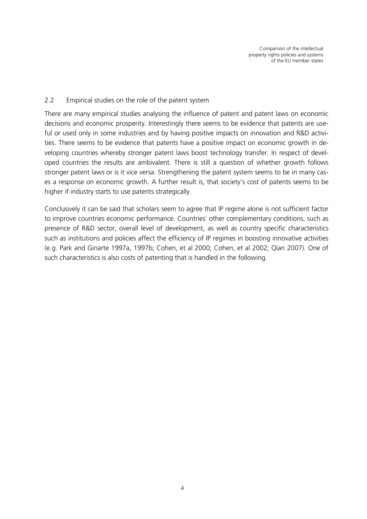#### 2.2 Empirical studies on the role of the patent system

There are many empirical studies analysing the influence of patent and patent laws on economic decisions and economic prosperity. Interestingly there seems to be evidence that patents are useful or used only in some industries and by having positive impacts on innovation and R&D activities. There seems to be evidence that patents have a positive impact on economic growth in developing countries whereby stronger patent laws boost technology transfer. In respect of developed countries the results are ambivalent. There is still a question of whether growth follows stronger patent laws or is it vice versa. Strengthening the patent system seems to be in many cases a response on economic growth. A further result is, that society's cost of patents seems to be higher if industry starts to use patents strategically.

Conclusively it can be said that scholars seem to agree that IP regime alone is not sufficient factor to improve countries economic performance. Countries` other complementary conditions, such as presence of R&D sector, overall level of development, as well as country specific characteristics such as institutions and policies affect the efficiency of IP regimes in boosting innovative activities (e.g. Park and Ginarte 1997a, 1997b; Cohen, et al 2000; Cohen, et al 2002; Qian 2007). One of such characteristics is also costs of patenting that is handled in the following.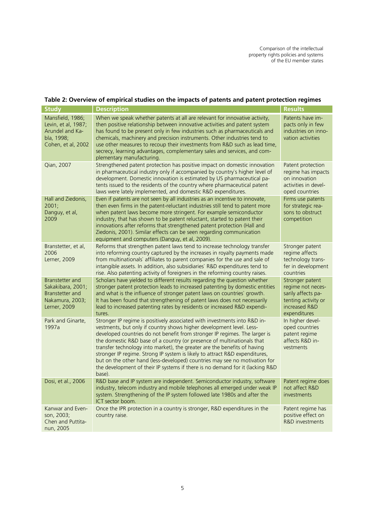#### **Table 2: Overview of empirical studies on the impacts of patents and patent protection regimes**

| <b>Study</b>                                                                                   | <b>Description</b>                                                                                                                                                                                                                                                                                                                                                                                                                                                                                                                                                                                                                            | <b>Results</b>                                                                                                     |
|------------------------------------------------------------------------------------------------|-----------------------------------------------------------------------------------------------------------------------------------------------------------------------------------------------------------------------------------------------------------------------------------------------------------------------------------------------------------------------------------------------------------------------------------------------------------------------------------------------------------------------------------------------------------------------------------------------------------------------------------------------|--------------------------------------------------------------------------------------------------------------------|
| Mansfield, 1986;<br>Levin, et al, 1987;<br>Arundel and Ka-<br>bla, 1998;<br>Cohen, et al, 2002 | When we speak whether patents at all are relevant for innovative activity,<br>then positive relationship between innovative activities and patent system<br>has found to be present only in few industries such as pharmaceuticals and<br>chemicals, machinery and precision instruments. Other industries tend to<br>use other measures to recoup their investments from R&D such as lead time,<br>secrecy, learning advantages, complementary sales and services, and com-<br>plementary manufacturing.                                                                                                                                     | Patents have im-<br>pacts only in few<br>industries on inno-<br>vation activities                                  |
| Qian, 2007                                                                                     | Strengthened patent protection has positive impact on domestic innovation<br>in pharmaceutical industry only if accompanied by country's higher level of<br>development. Domestic innovation is estimated by US pharmaceutical pa-<br>tents issued to the residents of the country where pharmaceutical patent<br>laws were lately implemented, and domestic R&D expenditures.                                                                                                                                                                                                                                                                | Patent protection<br>regime has impacts<br>on innovation<br>activities in devel-<br>oped countries                 |
| Hall and Ziedonis,<br>2001;<br>Danguy, et al,<br>2009                                          | Even if patents are not seen by all industries as an incentive to innovate,<br>then even firms in the patent-reluctant industries still tend to patent more<br>when patent laws become more stringent. For example semiconductor<br>industry, that has shown to be patent reluctant, started to patent their<br>innovations after reforms that strengthened patent protection (Hall and<br>Ziedonis, 2001). Similar effects can be seen regarding communication<br>equipment and computers (Danguy, et al, 2009).                                                                                                                             | Firms use patents<br>for strategic rea-<br>sons to obstruct<br>competition                                         |
| Branstetter, et al,<br>2006<br>Lerner, 2009                                                    | Reforms that strengthen patent laws tend to increase technology transfer<br>into reforming country captured by the increases in royalty payments made<br>from multinationals' affiliates to parent companies for the use and sale of<br>intangible assets. In addition, also subsidiaries` R&D expenditures tend to<br>rise. Also patenting activity of foreigners in the reforming country raises.                                                                                                                                                                                                                                           | Stronger patent<br>regime affects<br>technology trans-<br>fer in development<br>countries                          |
| Branstetter and<br>Sakakibara, 2001;<br>Branstetter and<br>Nakamura, 2003;<br>Lerner, 2009     | Scholars have yielded to different results regarding the question whether<br>stronger patent protection leads to increased patenting by domestic entities<br>and what is the influence of stronger patent laws on countries' growth.<br>It has been found that strengthening of patent laws does not necessarily<br>lead to increased patenting rates by residents or increased R&D expendi-<br>tures.                                                                                                                                                                                                                                        | Stronger patent<br>regime not neces-<br>sarily affects pa-<br>tenting activity or<br>increased R&D<br>expenditures |
| Park and Ginarte,<br>1997a                                                                     | Stronger IP regime is positively associated with investments into R&D in-<br>vestments, but only if country shows higher development level. Less-<br>developed countries do not benefit from stronger IP regimes. The larger is<br>the domestic R&D base of a country (or presence of multinationals that<br>transfer technology into market), the greater are the benefits of having<br>stronger IP regime. Strong IP system is likely to attract R&D expenditures,<br>but on the other hand (less-developed) countries may see no motivation for<br>the development of their IP systems if there is no demand for it (lacking R&D<br>base). | In higher devel-<br>oped countries<br>patent regime<br>affects R&D in-<br>vestments                                |
| Dosi, et al., 2006                                                                             | R&D base and IP system are independent. Semiconductor industry, software<br>industry, telecom industry and mobile telephones all emerged under weak IP<br>system. Strengthening of the IP system followed late 1980s and after the<br>ICT sector boom.                                                                                                                                                                                                                                                                                                                                                                                        | Patent regime does<br>not affect R&D<br>investments                                                                |
| Kanwar and Even-<br>son, 2003;<br>Chen and Puttita-<br>nun, 2005                               | Once the IPR protection in a country is stronger, R&D expenditures in the<br>country raise.                                                                                                                                                                                                                                                                                                                                                                                                                                                                                                                                                   | Patent regime has<br>positive effect on<br>R&D investments                                                         |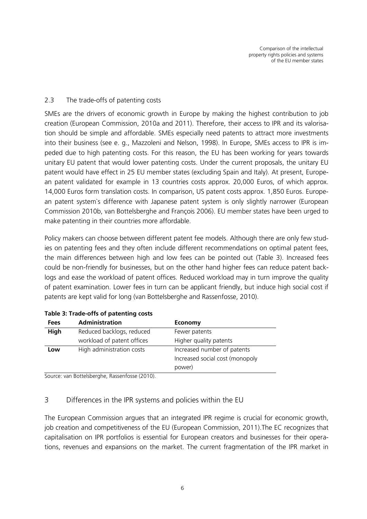#### 2.3 The trade-offs of patenting costs

SMEs are the drivers of economic growth in Europe by making the highest contribution to job creation (European Commission, 2010a and 2011). Therefore, their access to IPR and its valorisation should be simple and affordable. SMEs especially need patents to attract more investments into their business (see e. g., Mazzoleni and Nelson, 1998). In Europe, SMEs access to IPR is impeded due to high patenting costs. For this reason, the EU has been working for years towards unitary EU patent that would lower patenting costs. Under the current proposals, the unitary EU patent would have effect in 25 EU member states (excluding Spain and Italy). At present, European patent validated for example in 13 countries costs approx. 20,000 Euros, of which approx. 14,000 Euros form translation costs. In comparison, US patent costs approx. 1,850 Euros. European patent system`s difference with Japanese patent system is only slightly narrower (European Commission 2010b, van Bottelsberghe and François 2006). EU member states have been urged to make patenting in their countries more affordable.

Policy makers can choose between different patent fee models. Although there are only few studies on patenting fees and they often include different recommendations on optimal patent fees, the main differences between high and low fees can be pointed out [\(Table 3\)](#page-8-0). Increased fees could be non-friendly for businesses, but on the other hand higher fees can reduce patent backlogs and ease the workload of patent offices. Reduced workload may in turn improve the quality of patent examination. Lower fees in turn can be applicant friendly, but induce high social cost if patents are kept valid for long (van Bottelsberghe and Rassenfosse, 2010).

| <b>Fees</b>                      | <b>Administration</b>      | <b>Economy</b>                  |
|----------------------------------|----------------------------|---------------------------------|
| High                             | Reduced backlogs, reduced  | Fewer patents                   |
|                                  | workload of patent offices | Higher quality patents          |
| High administration costs<br>Low |                            | Increased number of patents     |
|                                  |                            | Increased social cost (monopoly |
|                                  |                            | power)                          |

#### <span id="page-8-0"></span>**Table 3: Trade-offs of patenting costs**

Source: van Bottelsberghe, Rassenfosse (2010).

#### 3 Differences in the IPR systems and policies within the EU

The European Commission argues that an integrated IPR regime is crucial for economic growth, job creation and competitiveness of the EU (European Commission, 2011).The EC recognizes that capitalisation on IPR portfolios is essential for European creators and businesses for their operations, revenues and expansions on the market. The current fragmentation of the IPR market in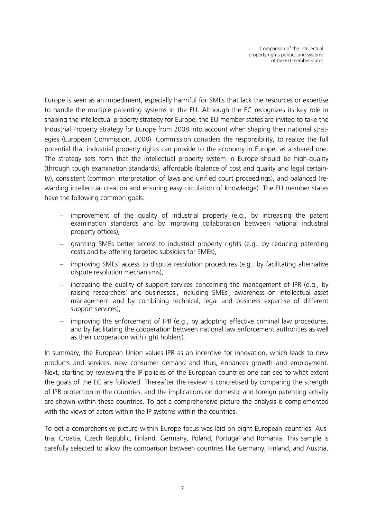Europe is seen as an impediment, especially harmful for SMEs that lack the resources or expertise to handle the multiple patenting systems in the EU. Although the EC recognizes its key role in shaping the intellectual property strategy for Europe, the EU member states are invited to take the Industrial Property Strategy for Europe from 2008 into account when shaping their national strategies (European Commission, 2008). Commission considers the responsibility, to realize the full potential that industrial property rights can provide to the economy in Europe, as a shared one. The strategy sets forth that the intellectual property system in Europe should be high-quality (through tough examination standards), affordable (balance of cost and quality and legal certainty), consistent (common interpretation of laws and unified court proceedings), and balanced (rewarding intellectual creation and ensuring easy circulation of knowledge). The EU member states have the following common goals:

- − improvement of the quality of industrial property (e.g., by increasing the patent examination standards and by improving collaboration between national industrial property offices),
- − granting SMEs better access to industrial property rights (e.g., by reducing patenting costs and by offering targeted subsidies for SMEs),
- − improving SMEs` access to dispute resolution procedures (e.g., by facilitating alternative dispute resolution mechanisms),
- − increasing the quality of support services concerning the management of IPR (e.g., by raising researchers` and businesses`, including SMEs`, awareness on intellectual asset management and by combining technical, legal and business expertise of different support services),
- − improving the enforcement of IPR (e.g., by adopting effective criminal law procedures, and by facilitating the cooperation between national law enforcement authorities as well as their cooperation with right holders).

In summary, the European Union values IPR as an incentive for innovation, which leads to new products and services, new consumer demand and thus, enhances growth and employment. Next, starting by reviewing the IP policies of the European countries one can see to what extent the goals of the EC are followed. Thereafter the review is concretised by comparing the strength of IPR protection in the countries, and the implications on domestic and foreign patenting activity are shown within these countries. To get a comprehensive picture the analysis is complemented with the views of actors within the IP systems within the countries.

To get a comprehensive picture within Europe focus was laid on eight European countries: Austria, Croatia, Czech Republic, Finland, Germany, Poland, Portugal and Romania. This sample is carefully selected to allow the comparison between countries like Germany, Finland, and Austria,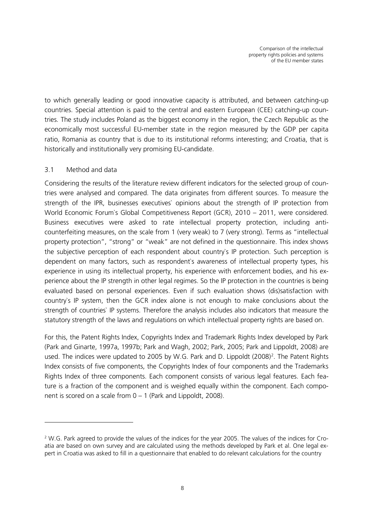to which generally leading or good innovative capacity is attributed, and between catching-up countries. Special attention is paid to the central and eastern European (CEE) catching-up countries. The study includes Poland as the biggest economy in the region, the Czech Republic as the economically most successful EU-member state in the region measured by the GDP per capita ratio, Romania as country that is due to its institutional reforms interesting; and Croatia, that is historically and institutionally very promising EU-candidate.

#### 3.1 Method and data

-

Considering the results of the literature review different indicators for the selected group of countries were analysed and compared. The data originates from different sources. To measure the strength of the IPR, businesses executives` opinions about the strength of IP protection from World Economic Forum`s Global Competitiveness Report (GCR), 2010 – 2011, were considered. Business executives were asked to rate intellectual property protection, including anticounterfeiting measures, on the scale from 1 (very weak) to 7 (very strong). Terms as "intellectual property protection", "strong" or "weak" are not defined in the questionnaire. This index shows the subjective perception of each respondent about country`s IP protection. Such perception is dependent on many factors, such as respondent`s awareness of intellectual property types, his experience in using its intellectual property, his experience with enforcement bodies, and his experience about the IP strength in other legal regimes. So the IP protection in the countries is being evaluated based on personal experiences. Even if such evaluation shows (dis)satisfaction with country`s IP system, then the GCR index alone is not enough to make conclusions about the strength of countries` IP systems. Therefore the analysis includes also indicators that measure the statutory strength of the laws and regulations on which intellectual property rights are based on.

For this, the Patent Rights Index, Copyrights Index and Trademark Rights Index developed by Park (Park and Ginarte, 1997a, 1997b; Park and Wagh, 2002; Park, 2005; Park and Lippoldt, 2008) are used. The indices were updated to [2](#page-10-0)005 by W.G. Park and D. Lippoldt (2008)<sup>2</sup>. The Patent Rights Index consists of five components, the Copyrights Index of four components and the Trademarks Rights Index of three components. Each component consists of various legal features. Each feature is a fraction of the component and is weighed equally within the component. Each component is scored on a scale from 0 – 1 (Park and Lippoldt, 2008).

<span id="page-10-0"></span><sup>&</sup>lt;sup>2</sup> W.G. Park agreed to provide the values of the indices for the year 2005. The values of the indices for Croatia are based on own survey and are calculated using the methods developed by Park et al. One legal expert in Croatia was asked to fill in a questionnaire that enabled to do relevant calculations for the country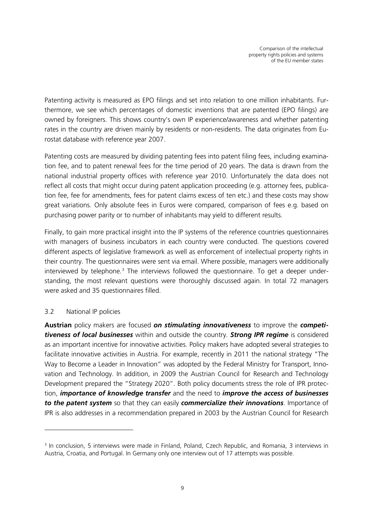Patenting activity is measured as EPO filings and set into relation to one million inhabitants. Furthermore, we see which percentages of domestic inventions that are patented (EPO filings) are owned by foreigners. This shows country's own IP experience/awareness and whether patenting rates in the country are driven mainly by residents or non-residents. The data originates from Eurostat database with reference year 2007.

Patenting costs are measured by dividing patenting fees into patent filing fees, including examination fee, and to patent renewal fees for the time period of 20 years. The data is drawn from the national industrial property offices with reference year 2010. Unfortunately the data does not reflect all costs that might occur during patent application proceeding (e.g. attorney fees, publication fee, fee for amendments, fees for patent claims excess of ten etc.) and these costs may show great variations. Only absolute fees in Euros were compared, comparison of fees e.g. based on purchasing power parity or to number of inhabitants may yield to different results.

Finally, to gain more practical insight into the IP systems of the reference countries questionnaires with managers of business incubators in each country were conducted. The questions covered different aspects of legislative framework as well as enforcement of intellectual property rights in their country. The questionnaires were sent via email. Where possible, managers were additionally interviewed by telephone.<sup>[3](#page-11-0)</sup> The interviews followed the questionnaire. To get a deeper understanding, the most relevant questions were thoroughly discussed again. In total 72 managers were asked and 35 questionnaires filled.

#### 3.2 National IP policies

-

**Austrian** policy makers are focused *on stimulating innovativeness* to improve the *competitiveness of local businesses* within and outside the country. *Strong IPR regime* is considered as an important incentive for innovative activities. Policy makers have adopted several strategies to facilitate innovative activities in Austria. For example, recently in 2011 the national strategy "The Way to Become a Leader in Innovation" was adopted by the Federal Ministry for Transport, Innovation and Technology. In addition, in 2009 the Austrian Council for Research and Technology Development prepared the "Strategy 2020". Both policy documents stress the role of IPR protection, *importance of knowledge transfer* and the need to *improve the access of businesses to the patent system* so that they can easily *commercialize their innovations*. Importance of IPR is also addresses in a recommendation prepared in 2003 by the Austrian Council for Research

<span id="page-11-0"></span><sup>&</sup>lt;sup>3</sup> In conclusion, 5 interviews were made in Finland, Poland, Czech Republic, and Romania, 3 interviews in Austria, Croatia, and Portugal. In Germany only one interview out of 17 attempts was possible.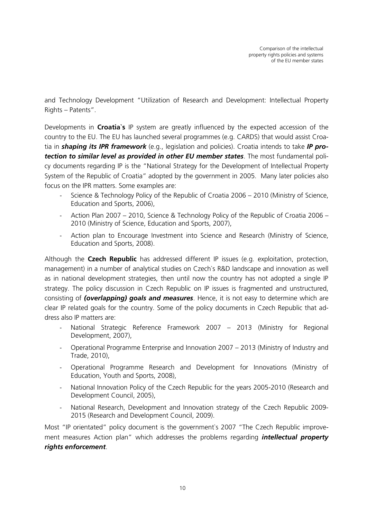and Technology Development "Utilization of Research and Development: Intellectual Property Rights – Patents".

Developments in **Croatia`s** IP system are greatly influenced by the expected accession of the country to the EU. The EU has launched several programmes (e.g. CARDS) that would assist Croatia in *shaping its IPR framework* (e.g., legislation and policies). Croatia intends to take *IP protection to similar level as provided in other EU member states*. The most fundamental policy documents regarding IP is the "National Strategy for the Development of Intellectual Property System of the Republic of Croatia" adopted by the government in 2005. Many later policies also focus on the IPR matters. Some examples are:

- Science & Technology Policy of the Republic of Croatia 2006 2010 (Ministry of Science, Education and Sports, 2006),
- Action Plan 2007 2010, Science & Technology Policy of the Republic of Croatia 2006 2010 (Ministry of Science, Education and Sports, 2007),
- Action plan to Encourage Investment into Science and Research (Ministry of Science, Education and Sports, 2008).

Although the **Czech Republic** has addressed different IP issues (e.g. exploitation, protection, management) in a number of analytical studies on Czech`s R&D landscape and innovation as well as in national development strategies, then until now the country has not adopted a single IP strategy. The policy discussion in Czech Republic on IP issues is fragmented and unstructured, consisting of *(overlapping) goals and measures*. Hence, it is not easy to determine which are clear IP related goals for the country. Some of the policy documents in Czech Republic that address also IP matters are:

- National Strategic Reference Framework 2007 2013 (Ministry for Regional Development, 2007),
- Operational Programme Enterprise and Innovation 2007 2013 (Ministry of Industry and Trade, 2010),
- Operational Programme Research and Development for Innovations (Ministry of Education, Youth and Sports, 2008),
- National Innovation Policy of the Czech Republic for the years 2005-2010 (Research and Development Council, 2005),
- National Research, Development and Innovation strategy of the Czech Republic 2009- 2015 (Research and Development Council, 2009).

Most "IP orientated" policy document is the government's 2007 "The Czech Republic improvement measures Action plan" which addresses the problems regarding *intellectual property rights enforcement*.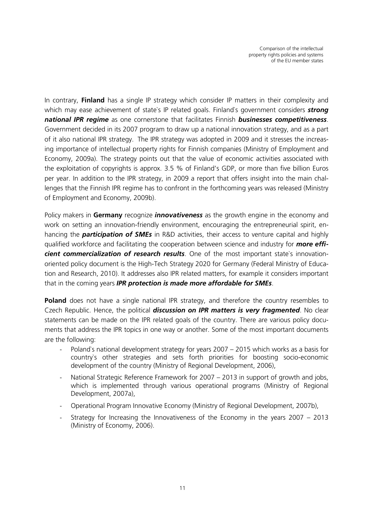In contrary, **Finland** has a single IP strategy which consider IP matters in their complexity and which may ease achievement of state`s IP related goals. Finland`s government considers *strong national IPR regime* as one cornerstone that facilitates Finnish *businesses competitiveness*. Government decided in its 2007 program to draw up a national innovation strategy, and as a part of it also national IPR strategy. The IPR strategy was adopted in 2009 and it stresses the increasing importance of intellectual property rights for Finnish companies (Ministry of Employment and Economy, 2009a). The strategy points out that the value of economic activities associated with the exploitation of copyrights is approx. 3.5 % of Finland's GDP, or more than five billion Euros per year. In addition to the IPR strategy, in 2009 a report that offers insight into the main challenges that the Finnish IPR regime has to confront in the forthcoming years was released (Ministry of Employment and Economy, 2009b).

Policy makers in **Germany** recognize *innovativeness* as the growth engine in the economy and work on setting an innovation-friendly environment, encouraging the entrepreneurial spirit, enhancing the *participation of SMEs* in R&D activities, their access to venture capital and highly qualified workforce and facilitating the cooperation between science and industry for *more efficient commercialization of research results*. One of the most important state`s innovationoriented policy document is the High-Tech Strategy 2020 for Germany (Federal Ministry of Education and Research, 2010). It addresses also IPR related matters, for example it considers important that in the coming years *IPR protection is made more affordable for SMEs*.

**Poland** does not have a single national IPR strategy, and therefore the country resembles to Czech Republic. Hence, the political *discussion on IPR matters is very fragmented*. No clear statements can be made on the IPR related goals of the country. There are various policy documents that address the IPR topics in one way or another. Some of the most important documents are the following:

- Poland's national development strategy for years 2007 2015 which works as a basis for country`s other strategies and sets forth priorities for boosting socio-economic development of the country (Ministry of Regional Development, 2006),
- National Strategic Reference Framework for 2007 2013 in support of growth and jobs, which is implemented through various operational programs (Ministry of Regional Development, 2007a),
- Operational Program Innovative Economy (Ministry of Regional Development, 2007b),
- Strategy for Increasing the Innovativeness of the Economy in the years  $2007 2013$ (Ministry of Economy, 2006).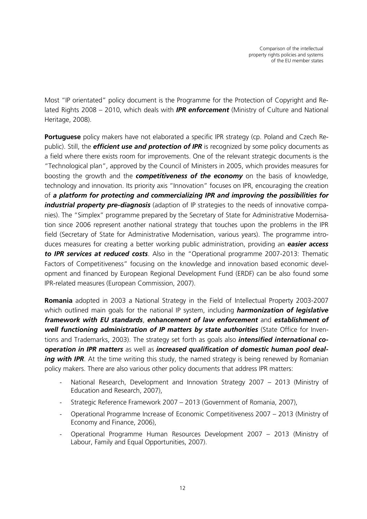Most "IP orientated" policy document is the Programme for the Protection of Copyright and Related Rights 2008 – 2010, which deals with *IPR enforcement* (Ministry of Culture and National Heritage, 2008).

**Portuguese** policy makers have not elaborated a specific IPR strategy (cp. Poland and Czech Republic). Still, the *efficient use and protection of IPR* is recognized by some policy documents as a field where there exists room for improvements. One of the relevant strategic documents is the "Technological plan", approved by the Council of Ministers in 2005, which provides measures for boosting the growth and the *competitiveness of the economy* on the basis of knowledge, technology and innovation. Its priority axis "Innovation" focuses on IPR, encouraging the creation of *a platform for protecting and commercializing IPR and improving the possibilities for industrial property pre-diagnosis* (adaption of IP strategies to the needs of innovative companies). The "Simplex" programme prepared by the Secretary of State for Administrative Modernisation since 2006 represent another national strategy that touches upon the problems in the IPR field (Secretary of State for Administrative Modernisation, various years). The programme introduces measures for creating a better working public administration, providing an *easier access to IPR services at reduced costs*. Also in the "Operational programme 2007-2013: Thematic Factors of Competitiveness" focusing on the knowledge and innovation based economic development and financed by European Regional Development Fund (ERDF) can be also found some IPR-related measures (European Commission, 2007).

**Romania** adopted in 2003 a National Strategy in the Field of Intellectual Property 2003-2007 which outlined main goals for the national IP system, including *harmonization of legislative framework with EU standards*, *enhancement of law enforcement* and *establishment of well functioning administration of IP matters by state authorities* (State Office for Inventions and Trademarks, 2003). The strategy set forth as goals also *intensified international cooperation in IPR matters* as well as *increased qualification of domestic human pool dealing with IPR*. At the time writing this study, the named strategy is being renewed by Romanian policy makers. There are also various other policy documents that address IPR matters:

- National Research, Development and Innovation Strategy 2007 2013 (Ministry of Education and Research, 2007),
- Strategic Reference Framework 2007 2013 (Government of Romania, 2007),
- Operational Programme Increase of Economic Competitiveness 2007 2013 (Ministry of Economy and Finance, 2006),
- Operational Programme Human Resources Development 2007 2013 (Ministry of Labour, Family and Equal Opportunities, 2007).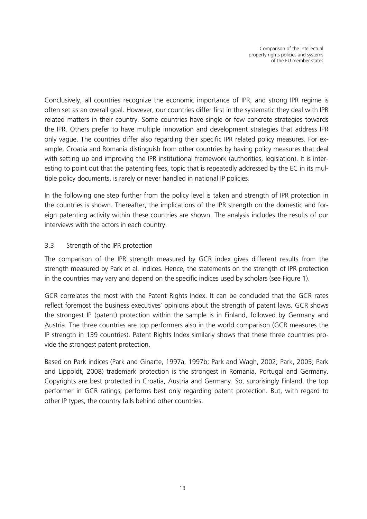Conclusively, all countries recognize the economic importance of IPR, and strong IPR regime is often set as an overall goal. However, our countries differ first in the systematic they deal with IPR related matters in their country. Some countries have single or few concrete strategies towards the IPR. Others prefer to have multiple innovation and development strategies that address IPR only vague. The countries differ also regarding their specific IPR related policy measures. For example, Croatia and Romania distinguish from other countries by having policy measures that deal with setting up and improving the IPR institutional framework (authorities, legislation). It is interesting to point out that the patenting fees, topic that is repeatedly addressed by the EC in its multiple policy documents, is rarely or never handled in national IP policies.

In the following one step further from the policy level is taken and strength of IPR protection in the countries is shown. Thereafter, the implications of the IPR strength on the domestic and foreign patenting activity within these countries are shown. The analysis includes the results of our interviews with the actors in each country.

#### 3.3 Strength of the IPR protection

The comparison of the IPR strength measured by GCR index gives different results from the strength measured by Park et al. indices. Hence, the statements on the strength of IPR protection in the countries may vary and depend on the specific indices used by scholars (see [Figure 1\)](#page-16-0).

GCR correlates the most with the Patent Rights Index. It can be concluded that the GCR rates reflect foremost the business executives` opinions about the strength of patent laws. GCR shows the strongest IP (patent) protection within the sample is in Finland, followed by Germany and Austria. The three countries are top performers also in the world comparison (GCR measures the IP strength in 139 countries). Patent Rights Index similarly shows that these three countries provide the strongest patent protection.

Based on Park indices (Park and Ginarte, 1997a, 1997b; Park and Wagh, 2002; Park, 2005; Park and Lippoldt, 2008) trademark protection is the strongest in Romania, Portugal and Germany. Copyrights are best protected in Croatia, Austria and Germany. So, surprisingly Finland, the top performer in GCR ratings, performs best only regarding patent protection. But, with regard to other IP types, the country falls behind other countries.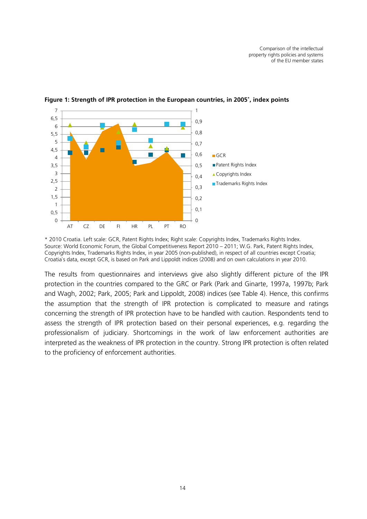

<span id="page-16-0"></span>**Figure 1: Strength of IPR protection in the European countries, in 2005\* , index points**

\* 2010 Croatia. Left scale: GCR, Patent Rights Index; Right scale: Copyrights Index, Trademarks Rights Index. Source: World Economic Forum, the Global Competitiveness Report 2010 – 2011; W.G. Park, Patent Rights Index, Copyrights Index, Trademarks Rights Index, in year 2005 (non-published), in respect of all countries except Croatia; Croatia`s data, except GCR, is based on Park and Lippoldt indices (2008) and on own calculations in year 2010.

The results from questionnaires and interviews give also slightly different picture of the IPR protection in the countries compared to the GRC or Park (Park and Ginarte, 1997a, 1997b; Park and Wagh, 2002; Park, 2005; Park and Lippoldt, 2008) indices (see [Table 4\)](#page-17-0). Hence, this confirms the assumption that the strength of IPR protection is complicated to measure and ratings concerning the strength of IPR protection have to be handled with caution. Respondents tend to assess the strength of IPR protection based on their personal experiences, e.g. regarding the professionalism of judiciary. Shortcomings in the work of law enforcement authorities are interpreted as the weakness of IPR protection in the country. Strong IPR protection is often related to the proficiency of enforcement authorities.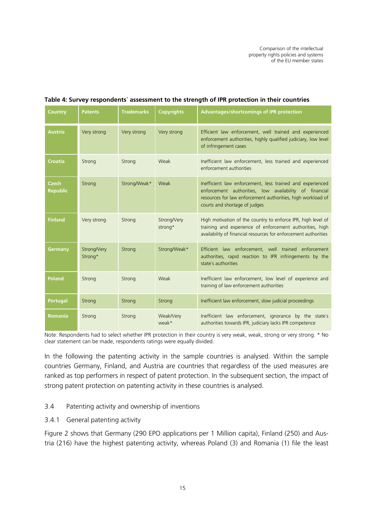| Country                         | <b>Patents</b>         | <b>Trademarks</b> | <b>Copyrights</b>      | <b>Advantages/shortcomings of IPR protection</b>                                                                                                                                                                    |
|---------------------------------|------------------------|-------------------|------------------------|---------------------------------------------------------------------------------------------------------------------------------------------------------------------------------------------------------------------|
| <b>Austria</b>                  | Very strong            | Very strong       | Very strong            | Efficient law enforcement, well trained and experienced<br>enforcement authorities, highly qualified judiciary, low level<br>of infringement cases                                                                  |
| Croatia                         | Strong                 | Strong            | Weak                   | Inefficient law enforcement, less trained and experienced<br>enforcement authorities                                                                                                                                |
| <b>Czech</b><br><b>Republic</b> | Strong                 | Strong/Weak*      | Weak                   | Inefficient law enforcement, less trained and experienced<br>enforcement authorities, low availability of financial<br>resources for law enforcement authorities, high workload of<br>courts and shortage of judges |
| <b>Finland</b>                  | Very strong            | Strong            | Strong/Very<br>strong* | High motivation of the country to enforce IPR, high level of<br>training and experience of enforcement authorities, high<br>availability of financial resources for enforcement authorities                         |
| Germany                         | Strong/Very<br>Strong* | Strong            | Strong/Weak*           | Efficient law enforcement, well trained enforcement<br>authorities, rapid reaction to IPR infringements by the<br>state's authorities                                                                               |
| <b>Poland</b>                   | Strong                 | Strong            | Weak                   | Inefficient law enforcement, low level of experience and<br>training of law enforcement authorities                                                                                                                 |
| <b>Portugal</b>                 | Strong                 | Strong            | Strong                 | Inefficient law enforcement, slow judicial proceedings                                                                                                                                                              |
| <b>Romania</b>                  | Strong                 | Strong            | Weak/Very<br>weak*     | Inefficient law enforcement, ignorance by the state's<br>authorities towards IPR, judiciary lacks IPR competence                                                                                                    |

#### <span id="page-17-0"></span>**Table 4: Survey respondents` assessment to the strength of IPR protection in their countries**

Note: Respondents had to select whether IPR protection in their country is very weak, weak, strong or very strong. \* No clear statement can be made, respondents ratings were equally divided.

In the following the patenting activity in the sample countries is analysed. Within the sample countries Germany, Finland, and Austria are countries that regardless of the used measures are ranked as top performers in respect of patent protection. In the subsequent section, the impact of strong patent protection on patenting activity in these countries is analysed.

#### 3.4 Patenting activity and ownership of inventions

3.4.1 General patenting activity

[Figure 2](#page-18-0) shows that Germany (290 EPO applications per 1 Million capita), Finland (250) and Austria (216) have the highest patenting activity, whereas Poland (3) and Romania (1) file the least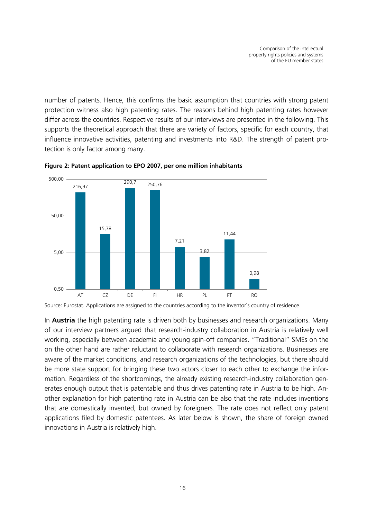number of patents. Hence, this confirms the basic assumption that countries with strong patent protection witness also high patenting rates. The reasons behind high patenting rates however differ across the countries. Respective results of our interviews are presented in the following. This supports the theoretical approach that there are variety of factors, specific for each country, that influence innovative activities, patenting and investments into R&D. The strength of patent protection is only factor among many.



<span id="page-18-0"></span>**Figure 2: Patent application to EPO 2007, per one million inhabitants**

Source: Eurostat. Applications are assigned to the countries according to the inventor`s country of residence.

In **Austria** the high patenting rate is driven both by businesses and research organizations. Many of our interview partners argued that research-industry collaboration in Austria is relatively well working, especially between academia and young spin-off companies. "Traditional" SMEs on the on the other hand are rather reluctant to collaborate with research organizations. Businesses are aware of the market conditions, and research organizations of the technologies, but there should be more state support for bringing these two actors closer to each other to exchange the information. Regardless of the shortcomings, the already existing research-industry collaboration generates enough output that is patentable and thus drives patenting rate in Austria to be high. Another explanation for high patenting rate in Austria can be also that the rate includes inventions that are domestically invented, but owned by foreigners. The rate does not reflect only patent applications filed by domestic patentees. As later below is shown, the share of foreign owned innovations in Austria is relatively high.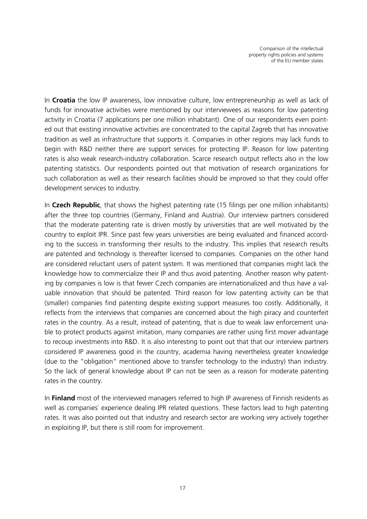In **Croatia** the low IP awareness, low innovative culture, low entrepreneurship as well as lack of funds for innovative activities were mentioned by our interviewees as reasons for low patenting activity in Croatia (7 applications per one million inhabitant). One of our respondents even pointed out that existing innovative activities are concentrated to the capital Zagreb that has innovative tradition as well as infrastructure that supports it. Companies in other regions may lack funds to begin with R&D neither there are support services for protecting IP. Reason for low patenting rates is also weak research-industry collaboration. Scarce research output reflects also in the low patenting statistics. Our respondents pointed out that motivation of research organizations for such collaboration as well as their research facilities should be improved so that they could offer development services to industry.

In **Czech Republic**, that shows the highest patenting rate (15 filings per one million inhabitants) after the three top countries (Germany, Finland and Austria). Our interview partners considered that the moderate patenting rate is driven mostly by universities that are well motivated by the country to exploit IPR. Since past few years universities are being evaluated and financed according to the success in transforming their results to the industry. This implies that research results are patented and technology is thereafter licensed to companies. Companies on the other hand are considered reluctant users of patent system. It was mentioned that companies might lack the knowledge how to commercialize their IP and thus avoid patenting. Another reason why patenting by companies is low is that fewer Czech companies are internationalized and thus have a valuable innovation that should be patented. Third reason for low patenting activity can be that (smaller) companies find patenting despite existing support measures too costly. Additionally, it reflects from the interviews that companies are concerned about the high piracy and counterfeit rates in the country. As a result, instead of patenting, that is due to weak law enforcement unable to protect products against imitation, many companies are rather using first mover advantage to recoup investments into R&D. It is also interesting to point out that that our interview partners considered IP awareness good in the country, academia having nevertheless greater knowledge (due to the "obligation" mentioned above to transfer technology to the industry) than industry. So the lack of general knowledge about IP can not be seen as a reason for moderate patenting rates in the country.

In **Finland** most of the interviewed managers referred to high IP awareness of Finnish residents as well as companies` experience dealing IPR related questions. These factors lead to high patenting rates. It was also pointed out that industry and research sector are working very actively together in exploiting IP, but there is still room for improvement.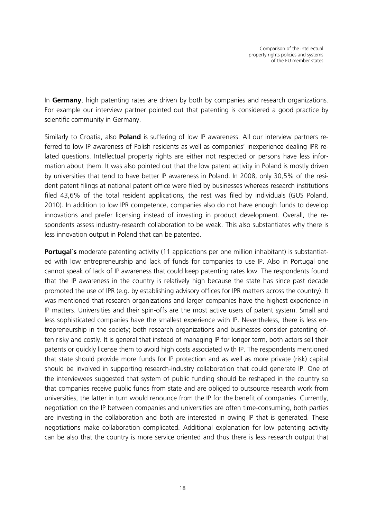In **Germany**, high patenting rates are driven by both by companies and research organizations. For example our interview partner pointed out that patenting is considered a good practice by scientific community in Germany.

Similarly to Croatia, also **Poland** is suffering of low IP awareness. All our interview partners referred to low IP awareness of Polish residents as well as companies' inexperience dealing IPR related questions. Intellectual property rights are either not respected or persons have less information about them. It was also pointed out that the low patent activity in Poland is mostly driven by universities that tend to have better IP awareness in Poland. In 2008, only 30,5% of the resident patent filings at national patent office were filed by businesses whereas research institutions filed 43,6% of the total resident applications, the rest was filed by individuals (GUS Poland, 2010). In addition to low IPR competence, companies also do not have enough funds to develop innovations and prefer licensing instead of investing in product development. Overall, the respondents assess industry-research collaboration to be weak. This also substantiates why there is less innovation output in Poland that can be patented.

**Portugal's** moderate patenting activity (11 applications per one million inhabitant) is substantiated with low entrepreneurship and lack of funds for companies to use IP. Also in Portugal one cannot speak of lack of IP awareness that could keep patenting rates low. The respondents found that the IP awareness in the country is relatively high because the state has since past decade promoted the use of IPR (e.g. by establishing advisory offices for IPR matters across the country). It was mentioned that research organizations and larger companies have the highest experience in IP matters. Universities and their spin-offs are the most active users of patent system. Small and less sophisticated companies have the smallest experience with IP. Nevertheless, there is less entrepreneurship in the society; both research organizations and businesses consider patenting often risky and costly. It is general that instead of managing IP for longer term, both actors sell their patents or quickly license them to avoid high costs associated with IP. The respondents mentioned that state should provide more funds for IP protection and as well as more private (risk) capital should be involved in supporting research-industry collaboration that could generate IP. One of the interviewees suggested that system of public funding should be reshaped in the country so that companies receive public funds from state and are obliged to outsource research work from universities, the latter in turn would renounce from the IP for the benefit of companies. Currently, negotiation on the IP between companies and universities are often time-consuming, both parties are investing in the collaboration and both are interested in owing IP that is generated. These negotiations make collaboration complicated. Additional explanation for low patenting activity can be also that the country is more service oriented and thus there is less research output that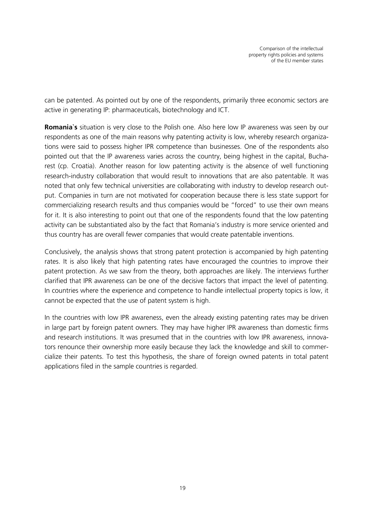can be patented. As pointed out by one of the respondents, primarily three economic sectors are active in generating IP: pharmaceuticals, biotechnology and ICT.

**Romania`s** situation is very close to the Polish one. Also here low IP awareness was seen by our respondents as one of the main reasons why patenting activity is low, whereby research organizations were said to possess higher IPR competence than businesses. One of the respondents also pointed out that the IP awareness varies across the country, being highest in the capital, Bucharest (cp. Croatia). Another reason for low patenting activity is the absence of well functioning research-industry collaboration that would result to innovations that are also patentable. It was noted that only few technical universities are collaborating with industry to develop research output. Companies in turn are not motivated for cooperation because there is less state support for commercializing research results and thus companies would be "forced" to use their own means for it. It is also interesting to point out that one of the respondents found that the low patenting activity can be substantiated also by the fact that Romania's industry is more service oriented and thus country has are overall fewer companies that would create patentable inventions.

Conclusively, the analysis shows that strong patent protection is accompanied by high patenting rates. It is also likely that high patenting rates have encouraged the countries to improve their patent protection. As we saw from the theory, both approaches are likely. The interviews further clarified that IPR awareness can be one of the decisive factors that impact the level of patenting. In countries where the experience and competence to handle intellectual property topics is low, it cannot be expected that the use of patent system is high.

In the countries with low IPR awareness, even the already existing patenting rates may be driven in large part by foreign patent owners. They may have higher IPR awareness than domestic firms and research institutions. It was presumed that in the countries with low IPR awareness, innovators renounce their ownership more easily because they lack the knowledge and skill to commercialize their patents. To test this hypothesis, the share of foreign owned patents in total patent applications filed in the sample countries is regarded.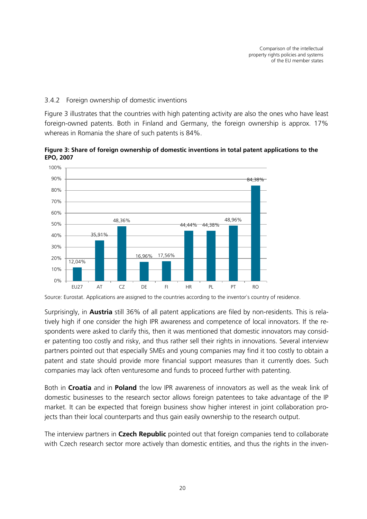#### 3.4.2 Foreign ownership of domestic inventions

[Figure 3](#page-22-0) illustrates that the countries with high patenting activity are also the ones who have least foreign-owned patents. Both in Finland and Germany, the foreign ownership is approx. 17% whereas in Romania the share of such patents is 84%.

<span id="page-22-0"></span>**Figure 3: Share of foreign ownership of domestic inventions in total patent applications to the EPO, 2007**



Source: Eurostat. Applications are assigned to the countries according to the inventor`s country of residence.

Surprisingly, in **Austria** still 36% of all patent applications are filed by non-residents. This is relatively high if one consider the high IPR awareness and competence of local innovators. If the respondents were asked to clarify this, then it was mentioned that domestic innovators may consider patenting too costly and risky, and thus rather sell their rights in innovations. Several interview partners pointed out that especially SMEs and young companies may find it too costly to obtain a patent and state should provide more financial support measures than it currently does. Such companies may lack often venturesome and funds to proceed further with patenting.

Both in **Croatia** and in **Poland** the low IPR awareness of innovators as well as the weak link of domestic businesses to the research sector allows foreign patentees to take advantage of the IP market. It can be expected that foreign business show higher interest in joint collaboration projects than their local counterparts and thus gain easily ownership to the research output.

The interview partners in **Czech Republic** pointed out that foreign companies tend to collaborate with Czech research sector more actively than domestic entities, and thus the rights in the inven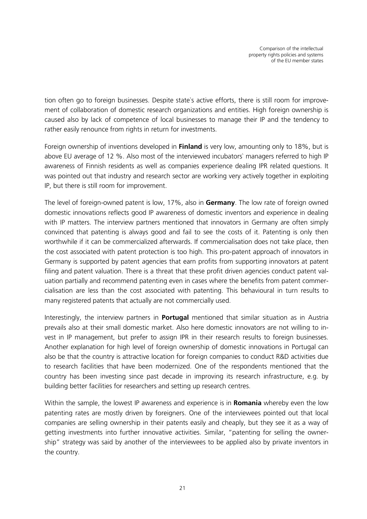tion often go to foreign businesses. Despite state`s active efforts, there is still room for improvement of collaboration of domestic research organizations and entities. High foreign ownership is caused also by lack of competence of local businesses to manage their IP and the tendency to rather easily renounce from rights in return for investments.

Foreign ownership of inventions developed in **Finland** is very low, amounting only to 18%, but is above EU average of 12 %. Also most of the interviewed incubators` managers referred to high IP awareness of Finnish residents as well as companies experience dealing IPR related questions. It was pointed out that industry and research sector are working very actively together in exploiting IP, but there is still room for improvement.

The level of foreign-owned patent is low, 17%, also in **Germany**. The low rate of foreign owned domestic innovations reflects good IP awareness of domestic inventors and experience in dealing with IP matters. The interview partners mentioned that innovators in Germany are often simply convinced that patenting is always good and fail to see the costs of it. Patenting is only then worthwhile if it can be commercialized afterwards. If commercialisation does not take place, then the cost associated with patent protection is too high. This pro-patent approach of innovators in Germany is supported by patent agencies that earn profits from supporting innovators at patent filing and patent valuation. There is a threat that these profit driven agencies conduct patent valuation partially and recommend patenting even in cases where the benefits from patent commercialisation are less than the cost associated with patenting. This behavioural in turn results to many registered patents that actually are not commercially used.

Interestingly, the interview partners in **Portugal** mentioned that similar situation as in Austria prevails also at their small domestic market. Also here domestic innovators are not willing to invest in IP management, but prefer to assign IPR in their research results to foreign businesses. Another explanation for high level of foreign ownership of domestic innovations in Portugal can also be that the country is attractive location for foreign companies to conduct R&D activities due to research facilities that have been modernized. One of the respondents mentioned that the country has been investing since past decade in improving its research infrastructure, e.g. by building better facilities for researchers and setting up research centres.

Within the sample, the lowest IP awareness and experience is in **Romania** whereby even the low patenting rates are mostly driven by foreigners. One of the interviewees pointed out that local companies are selling ownership in their patents easily and cheaply, but they see it as a way of getting investments into further innovative activities. Similar, "patenting for selling the ownership" strategy was said by another of the interviewees to be applied also by private inventors in the country.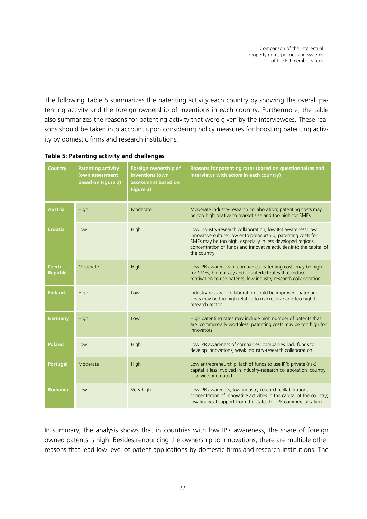The following [Table 5](#page-24-0) summarizes the patenting activity each country by showing the overall patenting activity and the foreign ownership of inventions in each country. Furthermore, the table also summarizes the reasons for patenting activity that were given by the interviewees. These reasons should be taken into account upon considering policy measures for boosting patenting activity by domestic firms and research institutions.

| <b>Country</b>                  | <b>Patenting activity</b><br>(own assessment<br>based on Figure 2) | Foreign ownership of<br>inventions (own<br>assessment based on<br>Figure 3)                                                                          | Reasons for patenting rates (based on questionnaires and<br>interviews with actors in each country)                                                                                                                                                                                |  |
|---------------------------------|--------------------------------------------------------------------|------------------------------------------------------------------------------------------------------------------------------------------------------|------------------------------------------------------------------------------------------------------------------------------------------------------------------------------------------------------------------------------------------------------------------------------------|--|
| <b>Austria</b>                  | High                                                               | Moderate                                                                                                                                             | Moderate industry-research collaboration; patenting costs may<br>be too high relative to market size and too high for SMEs                                                                                                                                                         |  |
| <b>Croatia</b>                  | Low                                                                | High                                                                                                                                                 | Low industry-research collaboration; low IPR awareness; low<br>innovative culture; low entrepreneurship; patenting costs for<br>SMEs may be too high, especially in less developed regions;<br>concentration of funds and innovative activities into the capital of<br>the country |  |
| <b>Czech</b><br><b>Republic</b> | Moderate                                                           | High                                                                                                                                                 | Low IPR awareness of companies; patenting costs may be high<br>for SMEs; high piracy and counterfeit rates that reduce<br>motivation to use patents; low industry-research collaboration                                                                                           |  |
| <b>Finland</b>                  | High                                                               | Low                                                                                                                                                  | Industry-research collaboration could be improved; patenting<br>costs may be too high relative to market size and too high for<br>research sector                                                                                                                                  |  |
| Germany                         | High                                                               | High patenting rates may include high number of patents that<br>Low<br>are commercially worthless; patenting costs may be too high for<br>innovators |                                                                                                                                                                                                                                                                                    |  |
| <b>Poland</b>                   | Low                                                                | High                                                                                                                                                 | Low IPR awareness of companies; companies' lack funds to<br>develop innovations; weak industry-research collaboration                                                                                                                                                              |  |
| <b>Portugal</b>                 | Moderate                                                           | High                                                                                                                                                 | Low entrepreneurship; lack of funds to use IPR; private (risk)<br>capital is less involved in industry-research collaboration; country<br>is service-orientated                                                                                                                    |  |
| <b>Romania</b>                  | Low                                                                | Very high                                                                                                                                            | Low IPR awareness; low industry-research collaboration;<br>concentration of innovative activities in the capital of the country;<br>low financial support from the states for IPR commercialisation                                                                                |  |

#### <span id="page-24-0"></span>**Table 5: Patenting activity and challenges**

In summary, the analysis shows that in countries with low IPR awareness, the share of foreign owned patents is high. Besides renouncing the ownership to innovations, there are multiple other reasons that lead low level of patent applications by domestic firms and research institutions. The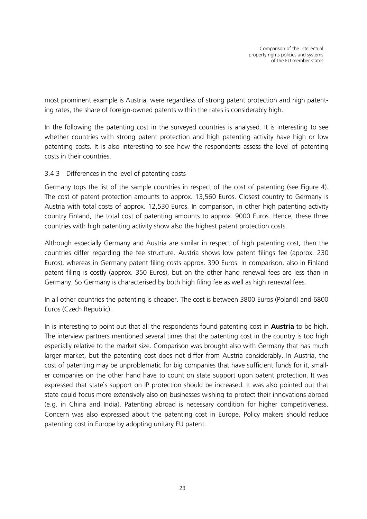most prominent example is Austria, were regardless of strong patent protection and high patenting rates, the share of foreign-owned patents within the rates is considerably high.

In the following the patenting cost in the surveyed countries is analysed. It is interesting to see whether countries with strong patent protection and high patenting activity have high or low patenting costs. It is also interesting to see how the respondents assess the level of patenting costs in their countries.

#### 3.4.3 Differences in the level of patenting costs

Germany tops the list of the sample countries in respect of the cost of patenting (see [Figure 4\)](#page-26-0). The cost of patent protection amounts to approx. 13,560 Euros. Closest country to Germany is Austria with total costs of approx. 12,530 Euros. In comparison, in other high patenting activity country Finland, the total cost of patenting amounts to approx. 9000 Euros. Hence, these three countries with high patenting activity show also the highest patent protection costs.

Although especially Germany and Austria are similar in respect of high patenting cost, then the countries differ regarding the fee structure. Austria shows low patent filings fee (approx. 230 Euros), whereas in Germany patent filing costs approx. 390 Euros. In comparison, also in Finland patent filing is costly (approx. 350 Euros), but on the other hand renewal fees are less than in Germany. So Germany is characterised by both high filing fee as well as high renewal fees.

In all other countries the patenting is cheaper. The cost is between 3800 Euros (Poland) and 6800 Euros (Czech Republic).

In is interesting to point out that all the respondents found patenting cost in **Austria** to be high. The interview partners mentioned several times that the patenting cost in the country is too high especially relative to the market size. Comparison was brought also with Germany that has much larger market, but the patenting cost does not differ from Austria considerably. In Austria, the cost of patenting may be unproblematic for big companies that have sufficient funds for it, smaller companies on the other hand have to count on state support upon patent protection. It was expressed that state`s support on IP protection should be increased. It was also pointed out that state could focus more extensively also on businesses wishing to protect their innovations abroad (e.g. in China and India). Patenting abroad is necessary condition for higher competitiveness. Concern was also expressed about the patenting cost in Europe. Policy makers should reduce patenting cost in Europe by adopting unitary EU patent.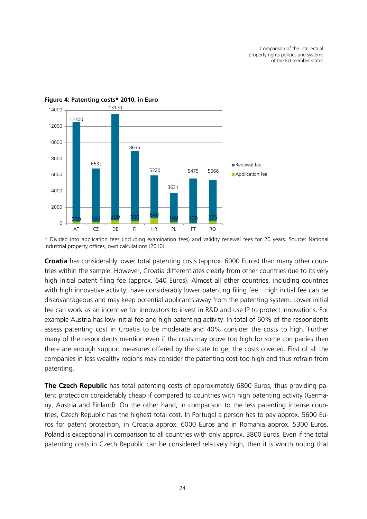

#### <span id="page-26-0"></span>**Figure 4: Patenting costs\* 2010, in Euro**

\* Divided into application fees (including examination fees) and validity renewal fees for 20 years. Source: National industrial property offices, own calculations (2010).

**Croatia** has considerably lower total patenting costs (approx. 6000 Euros) than many other countries within the sample. However, Croatia differentiates clearly from other countries due to its very high initial patent filing fee (approx. 640 Euros). Almost all other countries, including countries with high innovative activity, have considerably lower patenting filing fee. High initial fee can be disadvantageous and may keep potential applicants away from the patenting system. Lower initial fee can work as an incentive for innovators to invest in R&D and use IP to protect innovations. For example Austria has low initial fee and high patenting activity. In total of 60% of the respondents assess patenting cost in Croatia to be moderate and 40% consider the costs to high. Further many of the respondents mention even if the costs may prove too high for some companies then there are enough support measures offered by the state to get the costs covered. First of all the companies in less wealthy regions may consider the patenting cost too high and thus refrain from patenting.

**The Czech Republic** has total patenting costs of approximately 6800 Euros, thus providing patent protection considerably cheap if compared to countries with high patenting activity (Germany, Austria and Finland). On the other hand, in comparison to the less patenting intense countries, Czech Republic has the highest total cost. In Portugal a person has to pay approx. 5600 Euros for patent protection, in Croatia approx. 6000 Euros and in Romania approx. 5300 Euros. Poland is exceptional in comparison to all countries with only approx. 3800 Euros. Even if the total patenting costs in Czech Republic can be considered relatively high, then it is worth noting that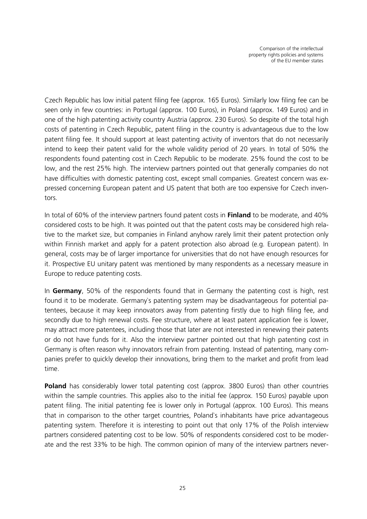Czech Republic has low initial patent filing fee (approx. 165 Euros). Similarly low filing fee can be seen only in few countries: in Portugal (approx. 100 Euros), in Poland (approx. 149 Euros) and in one of the high patenting activity country Austria (approx. 230 Euros). So despite of the total high costs of patenting in Czech Republic, patent filing in the country is advantageous due to the low patent filing fee. It should support at least patenting activity of inventors that do not necessarily intend to keep their patent valid for the whole validity period of 20 years. In total of 50% the respondents found patenting cost in Czech Republic to be moderate. 25% found the cost to be low, and the rest 25% high. The interview partners pointed out that generally companies do not have difficulties with domestic patenting cost, except small companies. Greatest concern was expressed concerning European patent and US patent that both are too expensive for Czech inventors.

In total of 60% of the interview partners found patent costs in **Finland** to be moderate, and 40% considered costs to be high. It was pointed out that the patent costs may be considered high relative to the market size, but companies in Finland anyhow rarely limit their patent protection only within Finnish market and apply for a patent protection also abroad (e.g. European patent). In general, costs may be of larger importance for universities that do not have enough resources for it. Prospective EU unitary patent was mentioned by many respondents as a necessary measure in Europe to reduce patenting costs.

In **Germany**, 50% of the respondents found that in Germany the patenting cost is high, rest found it to be moderate. Germany`s patenting system may be disadvantageous for potential patentees, because it may keep innovators away from patenting firstly due to high filing fee, and secondly due to high renewal costs. Fee structure, where at least patent application fee is lower, may attract more patentees, including those that later are not interested in renewing their patents or do not have funds for it. Also the interview partner pointed out that high patenting cost in Germany is often reason why innovators refrain from patenting. Instead of patenting, many companies prefer to quickly develop their innovations, bring them to the market and profit from lead time.

**Poland** has considerably lower total patenting cost (approx. 3800 Euros) than other countries within the sample countries. This applies also to the initial fee (approx. 150 Euros) payable upon patent filing. The initial patenting fee is lower only in Portugal (approx. 100 Euros). This means that in comparison to the other target countries, Poland`s inhabitants have price advantageous patenting system. Therefore it is interesting to point out that only 17% of the Polish interview partners considered patenting cost to be low. 50% of respondents considered cost to be moderate and the rest 33% to be high. The common opinion of many of the interview partners never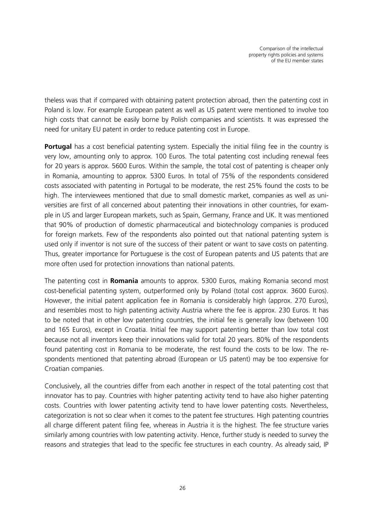theless was that if compared with obtaining patent protection abroad, then the patenting cost in Poland is low. For example European patent as well as US patent were mentioned to involve too high costs that cannot be easily borne by Polish companies and scientists. It was expressed the need for unitary EU patent in order to reduce patenting cost in Europe.

**Portugal** has a cost beneficial patenting system. Especially the initial filing fee in the country is very low, amounting only to approx. 100 Euros. The total patenting cost including renewal fees for 20 years is approx. 5600 Euros. Within the sample, the total cost of patenting is cheaper only in Romania, amounting to approx. 5300 Euros. In total of 75% of the respondents considered costs associated with patenting in Portugal to be moderate, the rest 25% found the costs to be high. The interviewees mentioned that due to small domestic market, companies as well as universities are first of all concerned about patenting their innovations in other countries, for example in US and larger European markets, such as Spain, Germany, France and UK. It was mentioned that 90% of production of domestic pharmaceutical and biotechnology companies is produced for foreign markets. Few of the respondents also pointed out that national patenting system is used only if inventor is not sure of the success of their patent or want to save costs on patenting. Thus, greater importance for Portuguese is the cost of European patents and US patents that are more often used for protection innovations than national patents.

The patenting cost in **Romania** amounts to approx. 5300 Euros, making Romania second most cost-beneficial patenting system, outperformed only by Poland (total cost approx. 3600 Euros). However, the initial patent application fee in Romania is considerably high (approx. 270 Euros), and resembles most to high patenting activity Austria where the fee is approx. 230 Euros. It has to be noted that in other low patenting countries, the initial fee is generally low (between 100 and 165 Euros), except in Croatia. Initial fee may support patenting better than low total cost because not all inventors keep their innovations valid for total 20 years. 80% of the respondents found patenting cost in Romania to be moderate, the rest found the costs to be low. The respondents mentioned that patenting abroad (European or US patent) may be too expensive for Croatian companies.

Conclusively, all the countries differ from each another in respect of the total patenting cost that innovator has to pay. Countries with higher patenting activity tend to have also higher patenting costs. Countries with lower patenting activity tend to have lower patenting costs. Nevertheless, categorization is not so clear when it comes to the patent fee structures. High patenting countries all charge different patent filing fee, whereas in Austria it is the highest. The fee structure varies similarly among countries with low patenting activity. Hence, further study is needed to survey the reasons and strategies that lead to the specific fee structures in each country. As already said, IP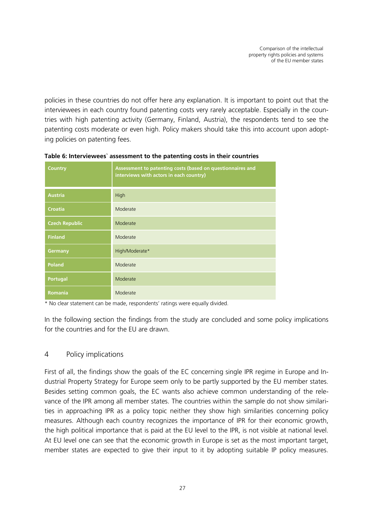policies in these countries do not offer here any explanation. It is important to point out that the interviewees in each country found patenting costs very rarely acceptable. Especially in the countries with high patenting activity (Germany, Finland, Austria), the respondents tend to see the patenting costs moderate or even high. Policy makers should take this into account upon adopting policies on patenting fees.

| <b>Country</b>        | Assessment to patenting costs (based on questionnaires and<br>interviews with actors in each country) |  |  |
|-----------------------|-------------------------------------------------------------------------------------------------------|--|--|
| <b>Austria</b>        | High                                                                                                  |  |  |
| <b>Croatia</b>        | Moderate                                                                                              |  |  |
| <b>Czech Republic</b> | Moderate                                                                                              |  |  |
| <b>Finland</b>        | Moderate                                                                                              |  |  |
| Germany               | High/Moderate*                                                                                        |  |  |
| <b>Poland</b>         | Moderate                                                                                              |  |  |
| <b>Portugal</b>       | Moderate                                                                                              |  |  |
| Romania               | Moderate                                                                                              |  |  |

**Table 6: Interviewees` assessment to the patenting costs in their countries**

\* No clear statement can be made, respondents' ratings were equally divided.

In the following section the findings from the study are concluded and some policy implications for the countries and for the EU are drawn.

#### 4 Policy implications

First of all, the findings show the goals of the EC concerning single IPR regime in Europe and Industrial Property Strategy for Europe seem only to be partly supported by the EU member states. Besides setting common goals, the EC wants also achieve common understanding of the relevance of the IPR among all member states. The countries within the sample do not show similarities in approaching IPR as a policy topic neither they show high similarities concerning policy measures. Although each country recognizes the importance of IPR for their economic growth, the high political importance that is paid at the EU level to the IPR, is not visible at national level. At EU level one can see that the economic growth in Europe is set as the most important target, member states are expected to give their input to it by adopting suitable IP policy measures.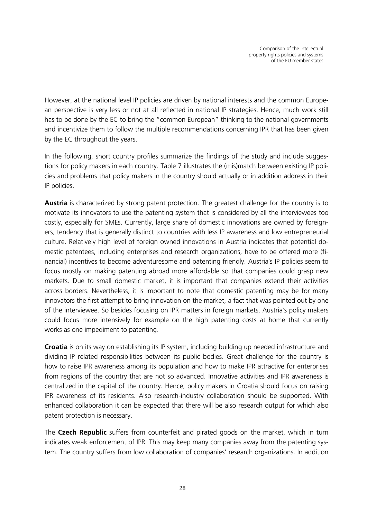However, at the national level IP policies are driven by national interests and the common European perspective is very less or not at all reflected in national IP strategies. Hence, much work still has to be done by the EC to bring the "common European" thinking to the national governments and incentivize them to follow the multiple recommendations concerning IPR that has been given by the EC throughout the years.

In the following, short country profiles summarize the findings of the study and include suggestions for policy makers in each country. [Table 7](#page-33-0) illustrates the (mis)match between existing IP policies and problems that policy makers in the country should actually or in addition address in their IP policies.

**Austria** is characterized by strong patent protection. The greatest challenge for the country is to motivate its innovators to use the patenting system that is considered by all the interviewees too costly, especially for SMEs. Currently, large share of domestic innovations are owned by foreigners, tendency that is generally distinct to countries with less IP awareness and low entrepreneurial culture. Relatively high level of foreign owned innovations in Austria indicates that potential domestic patentees, including enterprises and research organizations, have to be offered more (financial) incentives to become adventuresome and patenting friendly. Austria`s IP policies seem to focus mostly on making patenting abroad more affordable so that companies could grasp new markets. Due to small domestic market, it is important that companies extend their activities across borders. Nevertheless, it is important to note that domestic patenting may be for many innovators the first attempt to bring innovation on the market, a fact that was pointed out by one of the interviewee. So besides focusing on IPR matters in foreign markets, Austria`s policy makers could focus more intensively for example on the high patenting costs at home that currently works as one impediment to patenting.

**Croatia** is on its way on establishing its IP system, including building up needed infrastructure and dividing IP related responsibilities between its public bodies. Great challenge for the country is how to raise IPR awareness among its population and how to make IPR attractive for enterprises from regions of the country that are not so advanced. Innovative activities and IPR awareness is centralized in the capital of the country. Hence, policy makers in Croatia should focus on raising IPR awareness of its residents. Also research-industry collaboration should be supported. With enhanced collaboration it can be expected that there will be also research output for which also patent protection is necessary.

The **Czech Republic** suffers from counterfeit and pirated goods on the market, which in turn indicates weak enforcement of IPR. This may keep many companies away from the patenting system. The country suffers from low collaboration of companies' research organizations. In addition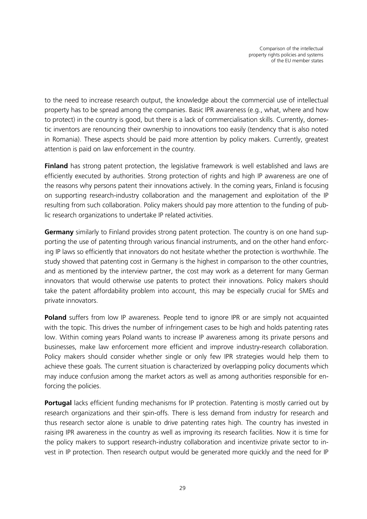to the need to increase research output, the knowledge about the commercial use of intellectual property has to be spread among the companies. Basic IPR awareness (e.g., what, where and how to protect) in the country is good, but there is a lack of commercialisation skills. Currently, domestic inventors are renouncing their ownership to innovations too easily (tendency that is also noted in Romania). These aspects should be paid more attention by policy makers. Currently, greatest attention is paid on law enforcement in the country.

**Finland** has strong patent protection, the legislative framework is well established and laws are efficiently executed by authorities. Strong protection of rights and high IP awareness are one of the reasons why persons patent their innovations actively. In the coming years, Finland is focusing on supporting research-industry collaboration and the management and exploitation of the IP resulting from such collaboration. Policy makers should pay more attention to the funding of public research organizations to undertake IP related activities.

**Germany** similarly to Finland provides strong patent protection. The country is on one hand supporting the use of patenting through various financial instruments, and on the other hand enforcing IP laws so efficiently that innovators do not hesitate whether the protection is worthwhile. The study showed that patenting cost in Germany is the highest in comparison to the other countries, and as mentioned by the interview partner, the cost may work as a deterrent for many German innovators that would otherwise use patents to protect their innovations. Policy makers should take the patent affordability problem into account, this may be especially crucial for SMEs and private innovators.

**Poland** suffers from low IP awareness. People tend to ignore IPR or are simply not acquainted with the topic. This drives the number of infringement cases to be high and holds patenting rates low. Within coming years Poland wants to increase IP awareness among its private persons and businesses, make law enforcement more efficient and improve industry-research collaboration. Policy makers should consider whether single or only few IPR strategies would help them to achieve these goals. The current situation is characterized by overlapping policy documents which may induce confusion among the market actors as well as among authorities responsible for enforcing the policies.

**Portugal** lacks efficient funding mechanisms for IP protection. Patenting is mostly carried out by research organizations and their spin-offs. There is less demand from industry for research and thus research sector alone is unable to drive patenting rates high. The country has invested in raising IPR awareness in the country as well as improving its research facilities. Now it is time for the policy makers to support research-industry collaboration and incentivize private sector to invest in IP protection. Then research output would be generated more quickly and the need for IP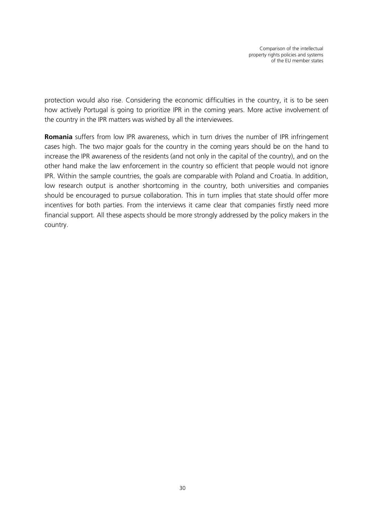protection would also rise. Considering the economic difficulties in the country, it is to be seen how actively Portugal is going to prioritize IPR in the coming years. More active involvement of the country in the IPR matters was wished by all the interviewees.

**Romania** suffers from low IPR awareness, which in turn drives the number of IPR infringement cases high. The two major goals for the country in the coming years should be on the hand to increase the IPR awareness of the residents (and not only in the capital of the country), and on the other hand make the law enforcement in the country so efficient that people would not ignore IPR. Within the sample countries, the goals are comparable with Poland and Croatia. In addition, low research output is another shortcoming in the country, both universities and companies should be encouraged to pursue collaboration. This in turn implies that state should offer more incentives for both parties. From the interviews it came clear that companies firstly need more financial support. All these aspects should be more strongly addressed by the policy makers in the country.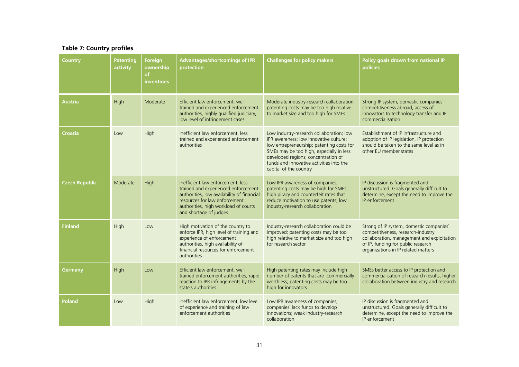#### **Table 7: Country profiles**

<span id="page-33-0"></span>

| Country               | <b>Patenting</b><br>activity | <b>Foreign</b><br>ownership<br><b>of</b><br>inventions | <b>Advantages/shortcomings of IPR</b><br>protection                                                                                                                                                                       | <b>Challenges for policy makers</b>                                                                                                                                                                                                                                                      | Policy goals drawn from national IP<br>policies                                                                                                                                                           |
|-----------------------|------------------------------|--------------------------------------------------------|---------------------------------------------------------------------------------------------------------------------------------------------------------------------------------------------------------------------------|------------------------------------------------------------------------------------------------------------------------------------------------------------------------------------------------------------------------------------------------------------------------------------------|-----------------------------------------------------------------------------------------------------------------------------------------------------------------------------------------------------------|
| Austria               | <b>High</b>                  | Moderate                                               | Efficient law enforcement, well<br>trained and experienced enforcement<br>authorities, highly qualified judiciary,<br>low level of infringement cases                                                                     | Moderate industry-research collaboration;<br>patenting costs may be too high relative<br>to market size and too high for SMEs                                                                                                                                                            | Strong IP system, domestic companies<br>competitiveness abroad, access of<br>innovators to technology transfer and IP<br>commercialisation                                                                |
| Croatia               | Low                          | High                                                   | Inefficient law enforcement, less<br>trained and experienced enforcement<br>authorities                                                                                                                                   | Low industry-research collaboration; low<br>IPR awareness; low innovative culture;<br>low entrepreneurship; patenting costs for<br>SMEs may be too high, especially in less<br>developed regions; concentration of<br>funds and innovative activities into the<br>capital of the country | Establishment of IP infrastructure and<br>adoption of IP legislation, IP protection<br>should be taken to the same level as in<br>other EU member states                                                  |
| <b>Czech Republic</b> | Moderate                     | High                                                   | Inefficient law enforcement, less<br>trained and experienced enforcement<br>authorities, low availability of financial<br>resources for law enforcement<br>authorities, high workload of courts<br>and shortage of judges | Low IPR awareness of companies;<br>patenting costs may be high for SMEs;<br>high piracy and counterfeit rates that<br>reduce motivation to use patents; low<br>industry-research collaboration                                                                                           | IP discussion is fragmented and<br>unstructured. Goals generally difficult to<br>determine, except the need to improve the<br>IP enforcement                                                              |
| <b>Finland</b>        | High                         | Low                                                    | High motivation of the country to<br>enforce IPR, high level of training and<br>experience of enforcement<br>authorities, high availability of<br>financial resources for enforcement<br>authorities                      | Industry-research collaboration could be<br>improved; patenting costs may be too<br>high relative to market size and too high<br>for research sector                                                                                                                                     | Strong of IP system, domestic companies'<br>competitiveness, research-industry<br>collaboration, management and exploitation<br>of IP, funding for public research<br>organizations in IP related matters |
| Germany               | High                         | Low                                                    | Efficient law enforcement, well<br>trained enforcement authorities, rapid<br>reaction to IPR infringements by the<br>state's authorities                                                                                  | High patenting rates may include high<br>number of patents that are commercially<br>worthless; patenting costs may be too<br>high for innovators                                                                                                                                         | SMEs better access to IP protection and<br>commercialisation of research results, higher<br>collaboration between industry and research                                                                   |
| <b>Poland</b>         | Low                          | High                                                   | Inefficient law enforcement, low level<br>of experience and training of law<br>enforcement authorities                                                                                                                    | Low IPR awareness of companies;<br>companies' lack funds to develop<br>innovations; weak industry-research<br>collaboration                                                                                                                                                              | IP discussion is fragmented and<br>unstructured. Goals generally difficult to<br>determine, except the need to improve the<br>IP enforcement                                                              |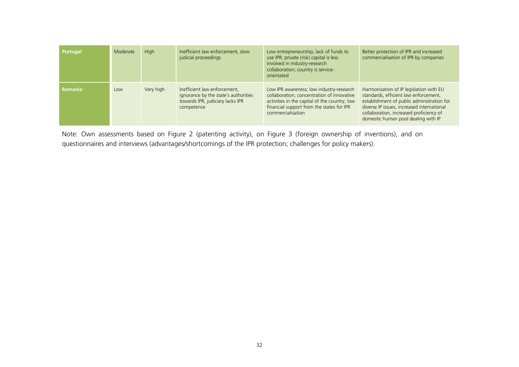| Portugal       | Moderate | <b>High</b> | Inefficient law enforcement, slow<br>judicial proceedings                                                              | Low entrepreneurship; lack of funds to<br>use IPR; private (risk) capital is less<br>involved in industry-research<br>collaboration; country is service-<br>orientated                                    | Better protection of IPR and increased<br>commercialisation of IPR by companies                                                                                                                                                                                |
|----------------|----------|-------------|------------------------------------------------------------------------------------------------------------------------|-----------------------------------------------------------------------------------------------------------------------------------------------------------------------------------------------------------|----------------------------------------------------------------------------------------------------------------------------------------------------------------------------------------------------------------------------------------------------------------|
| <b>Romania</b> | Low      | Very high   | Inefficient law enforcement,<br>ignorance by the state's authorities<br>towards IPR, judiciary lacks IPR<br>competence | Low IPR awareness; low industry-research<br>collaboration; concentration of innovative<br>activities in the capital of the country; low<br>financial support from the states for IPR<br>commercialisation | Harmonisation of IP legislation with EU<br>standards, efficient law enforcement,<br>establishment of public administration for<br>diverse IP issues, increased international<br>collaboration, increased proficiency of<br>domestic human pool dealing with IP |

Note: Own assessments based on Figure 2 (patenting activity), on Figure 3 (foreign ownership of inventions), and on questionnaires and interviews (advantages/shortcomings of the IPR protection; challenges for policy makers).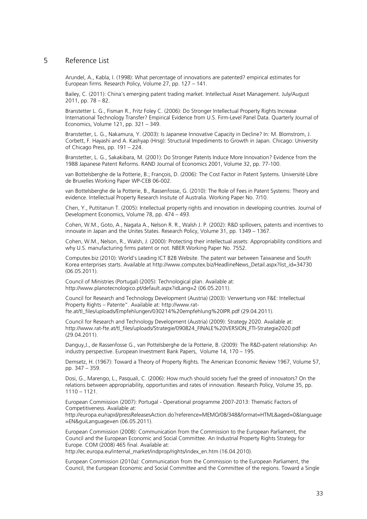#### 5 Reference List

Arundel, A., Kabla, I. (1998): What percentage of innovations are patented? empirical estimates for European firms. Research Policy, Volume 27, pp. 127 – 141.

Bailey, C. (2011): China's emerging patent trading market. Intellectual Asset Management. July/August 2011, pp. 78 – 82.

Branstetter L. G., Fisman R., Fritz Foley C. (2006): Do Stronger Intellectual Property Rights Increase International Technology Transfer? Empirical Evidence from U.S. Firm-Level Panel Data. Quarterly Journal of Economics, Volume 121, pp. 321 – 349.

Branstetter, L. G., Nakamura, Y. (2003): Is Japanese Innovative Capacity in Decline? In: M. Blomstrom, J. Corbett, F. Hayashi and A. Kashyap (Hrsg): Structural Impediments to Growth in Japan. Chicago: University of Chicago Press, pp. 191 – 224.

Branstetter, L. G., Sakakibara, M. (2001): Do Stronger Patents Induce More Innovation? Evidence from the 1988 Japanese Patent Reforms. RAND Journal of Economics 2001, Volume 32, pp. 77-100.

van Bottelsberghe de la Potterie, B.; François, D. (2006): The Cost Factor in Patent Systems. Université Libre de Bruxelles Working Paper WP-CEB 06-002.

van Bottelsberghe de la Potterie, B., Rassenfosse, G. (2010): The Role of Fees in Patent Systems: Theory and evidence. Intellectual Property Research Insitute of Australia. Working Paper No. 7/10.

Chen, Y., Puttitanun T. (2005): Intellectual property rights and innovation in developing countries. Journal of Development Economics, Volume 78, pp. 474 – 493.

Cohen, W.M., Goto, A., Nagata A., Nelson R. R., Walsh J. P. (2002): R&D spillovers, patents and incentives to innovate in Japan and the Unites States. Research Policy, Volume 31, pp. 1349 – 1367.

Cohen, W.M., Nelson, R., Walsh, J. (2000): Protecting their intellectual assets: Appropriability conditions and why U.S. manufacturing firms patent or not. NBER Working Paper No. 7552.

Computex.biz (2010): World's Leading ICT B2B Website. The patent war between Taiwanese and South Korea enterprises starts. Available at [http://www.computex.biz/HeadlineNews\\_Detail.aspx?list\\_id=34730](http://www.computex.biz/HeadlineNews_Detail.aspx?list_id=34730) (06.05.2011).

Council of Ministries (Portugal) (2005): Technological plan. Available at: <http://www.planotecnologico.pt/default.aspx?idLang=2> (06.05.2011).

Council for Research and Technology Development (Austria) (2003): Verwertung von F&E: Intellectual Property Rights – Patente". Available at: [http://www.rat](http://www.rat-fte.at/tl_files/uploads/Empfehlungen/030214%20empfehlung%20IPR.pdf)[fte.at/tl\\_files/uploads/Empfehlungen/030214%20empfehlung%20IPR.pdf](http://www.rat-fte.at/tl_files/uploads/Empfehlungen/030214%20empfehlung%20IPR.pdf) (29.04.2011).

Council for Research and Technology Development (Austria) (2009): Strategy 2020. Available at: [http://www.rat-fte.at/tl\\_files/uploads/Strategie/090824\\_FINALE%20VERSION\\_FTI-Strategie2020.pdf](http://www.rat-fte.at/tl_files/uploads/Strategie/090824_FINALE%20VERSION_FTI-Strategie2020.pdf) (29.04.2011).

Danguy,J., de Rassenfosse G., van Pottelsberghe de la Potterie, B. (2009): The R&D-patent relationship: An industry perspective. European Investment Bank Papers, Volume 14, 170 – 195.

Demsetz, H. (1967): Toward a Theory of Property Rights. The American Economic Review 1967, Volume 57, pp. 347 – 359.

Dosi, G., Marengo, L., Pasquali, C. (2006): How much should society fuel the greed of innovators? On the relations between appropriability, opportunities and rates of innovation. Research Policy, Volume 35, pp. 1110 – 1121.

European Commission (2007): Portugal - Operational programme 2007-2013: Thematic Factors of Competitiveness. Available at:

[http://europa.eu/rapid/pressReleasesAction.do?reference=MEMO/08/348&format=HTML&aged=0&language](http://europa.eu/rapid/pressReleasesAction.do?reference=MEMO/08/348&format=HTML&aged=0&language=EN&guiLanguage=en) [=EN&guiLanguage=en](http://europa.eu/rapid/pressReleasesAction.do?reference=MEMO/08/348&format=HTML&aged=0&language=EN&guiLanguage=en) (06.05.2011).

European Commission (2008): Communication from the Commission to the European Parliament, the Council and the European Economic and Social Committee. An Industrial Property Rights Strategy for Europe. COM (2008) 465 final. Available at:

http://ec.europa.eu/internal\_market/indprop/rights/index\_en.htm (16.04.2010).

European Commission (2010a): Communication from the Commission to the European Parliament, the Council, the European Economic and Social Committee and the Committee of the regions. Toward a Single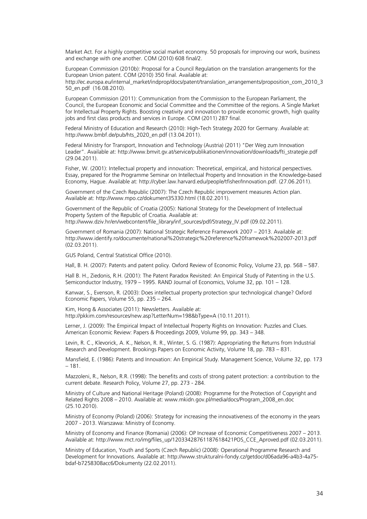Market Act. For a highly competitive social market economy. 50 proposals for improving our work, business and exchange with one another. COM (2010) 608 final/2.

European Commission (2010b): Proposal for a Council Regulation on the translation arrangements for the European Union patent. COM (2010) 350 final. Available at: [http://ec.europa.eu/internal\\_market/indprop/docs/patent/translation\\_arrangements/proposition\\_com\\_2010\\_3](http://ec.europa.eu/internal_market/indprop/docs/patent/translation_arrangements/proposition_com_2010_350_en.pdf) [50\\_en.pdf](http://ec.europa.eu/internal_market/indprop/docs/patent/translation_arrangements/proposition_com_2010_350_en.pdf) (16.08.2010).

European Commission (2011): Communication from the Commission to the European Parliament, the Council, the European Economic and Social Committee and the Committee of the regions. A Single Market for Intellectual Property Rights. Boosting creativity and innovation to provide economic growth, high quality jobs and first class products and services in Europe. COM (2011) 287 final.

Federal Ministry of Education and Research (2010): High-Tech Strategy 2020 for Germany. Available at: [http://www.bmbf.de/pub/hts\\_2020\\_en.pdf](http://www.bmbf.de/pub/hts_2020_en.pdf) (13.04.2011).

Federal Ministry for Transport, Innovation and Technology (Austria) (2011) "Der Weg zum Innovation Leader". Available at: [http://www.bmvit.gv.at/service/publikationen/innovation/downloads/fti\\_strategie.pdf](http://www.bmvit.gv.at/service/publikationen/innovation/downloads/fti_strategie.pdf) (29.04.2011).

Fisher, W. (2001): Intellectual property and innovation: Theoretical, empirical, and historical perspectives. Essay, prepared for the Programme Seminar on Intellectual Property and Innovation in the Knowledge-based Economy, Hague. Available at: [http://cyber.law.harvard.edu/people/tfisher/Innovation.pdf.](http://cyber.law.harvard.edu/people/tfisher/Innovation.pdf) (27.06.2011).

Government of the Czech Republic (2007): The Czech Republic improvement measures Action plan. Available at:<http://www.mpo.cz/dokument35330.html> (18.02.2011).

Government of the Republic of Croatia (2005): National Strategy for the Development of Intellectual Property System of the Republic of Croatia. Available at: [http://www.dziv.hr/en/webcontent/file\\_library/inf\\_sources/pdf/Strategy\\_IV.pdf](http://www.dziv.hr/en/webcontent/file_library/inf_sources/pdf/Strategy_IV.pdf) (09.02.2011).

Government of Romania (2007): National Strategic Reference Framework 2007 – 2013. Available at: <http://www.identify.ro/documente/national%20strategic%20reference%20framewok%202007-2013.pdf> (02.03.2011).

GUS Poland, Central Statistical Office (2010).

Hall, B. H. (2007): Patents and patent policy. Oxford Review of Economic Policy, Volume 23, pp. 568 – 587.

Hall B. H., Ziedonis, R.H. (2001): The Patent Paradox Revisited: An Empirical Study of Patenting in the U.S. Semiconductor Industry, 1979 – 1995. RAND Journal of Economics, Volume 32, pp. 101 – 128.

Kanwar, S., Evenson, R. (2003): Does intellectual property protection spur technological change? Oxford Economic Papers, Volume 55, pp. 235 – 264.

Kim, Hong & Associates (2011): Newsletters. Available at: <http://pkkim.com/resources/new.asp?LetterNum=198&bType=A> (10.11.2011).

Lerner, J. (2009): The Empirical Impact of Intellectual Property Rights on Innovation: Puzzles and Clues. American Economic Review: Papers & Proceedings 2009, Volume 99, pp. 343 – 348.

Levin, R. C., Klevorick, A. K., Nelson, R. R., Winter, S. G. (1987): Appropriating the Returns from Industrial Research and Development. Brookings Papers on Economic Activity, Volume 18, pp. 783 – 831.

Mansfield, E. (1986): Patents and Innovation: An Empirical Study. Management Science, Volume 32, pp. 173 – 181.

Mazzoleni, R., Nelson, R.R. (1998): The benefits and costs of strong patent protection: a contribution to the current debate. Research Policy, Volume 27, pp. 273 - 284.

Ministry of Culture and National Heritage (Poland) (2008): Programme for the Protection of Copyright and Related Rights 2008 – 2010. Available at: [www.mkidn.gov.pl/media/docs/Program\\_2008\\_en.doc](http://www.mkidn.gov.pl/media/docs/Program_2008_en.doc) (25.10.2010).

Ministry of Economy (Poland) (2006): Strategy for increasing the innovativeness of the economy in the years 2007 - 2013. Warszawa: Ministry of Economy.

Ministry of Economy and Finance (Romania) (2006): OP Increase of Economic Competitiveness 2007 – 2013. Available at: [http://www.mct.ro/img/files\\_up/12033428761187618421POS\\_CCE\\_Aproved.pdf](http://www.mct.ro/img/files_up/12033428761187618421POS_CCE_Aproved.pdf) (02.03.2011).

Ministry of Education, Youth and Sports (Czech Republic) (2008): Operational Programme Research and Development for Innovations. Available at: [http://www.strukturalni-fondy.cz/getdoc/d06ada96-a4b3-4a75](http://www.strukturalni-fondy.cz/getdoc/d06ada96-a4b3-4a75-bdaf-b7258308acc6/Dokumenty) [bdaf-b7258308acc6/Dokumenty](http://www.strukturalni-fondy.cz/getdoc/d06ada96-a4b3-4a75-bdaf-b7258308acc6/Dokumenty) (22.02.2011).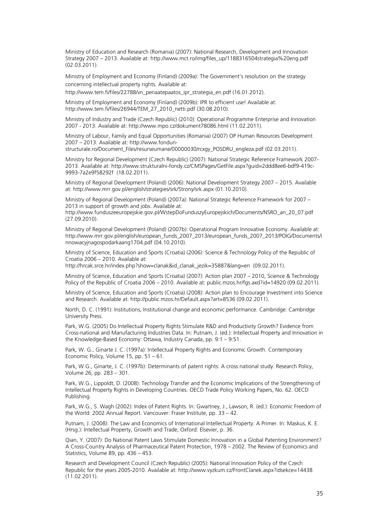Ministry of Education and Research (Romania) (2007): National Research, Development and Innovation Strategy 2007 – 2013. Available at: [http://www.mct.ro/img/files\\_up/1188316504strategia%20eng.pdf](http://www.mct.ro/img/files_up/1188316504strategia%20eng.pdf) (02.03.2011).

Ministry of Employment and Economy (Finland) (2009a): The Government's resolution on the strategy concerning intellectual property rights. Available at:

http://www.tem.fi/files/22788/vn\_periaatepaatos\_ipr\_strategia\_en.pdf (16.01.2012).

Ministry of Employment and Economy (Finland) (2009b): IPR to efficient use! Available at: [http://www.tem.fi/files/26944/TEM\\_27\\_2010\\_netti.pdf](http://www.tem.fi/files/26944/TEM_27_2010_netti.pdf) (30.08.2010).

Ministry of Industry and Trade (Czech Republic) (2010): Operational Programme Enterprise and Innovation 2007 - 2013. Available at:<http://www.mpo.cz/dokument78086.html> (11.02.2011).

Ministry of Labour, Family and Equal Opportunities (Romania) (2007) OP Human Resources Development 2007 – 2013. Available at: [http://www.fonduri-](http://www.fonduri-structurale.ro/Document_Files/resurseumane/00000030/rcxgy_POSDRU_engleza.pdf)

[structurale.ro/Document\\_Files/resurseumane/00000030/rcxgy\\_POSDRU\\_engleza.pdf](http://www.fonduri-structurale.ro/Document_Files/resurseumane/00000030/rcxgy_POSDRU_engleza.pdf) (02.03.2011).

Ministry for Regional Development (Czech Republic) (2007): National Strategic Reference Framework 2007- 2013. Available at: [http://www.strukturalni-fondy.cz/CMSPages/GetFile.aspx?guid=2ddd8ee6-bdf9-419c-](http://www.strukturalni-fondy.cz/CMSPages/GetFile.aspx?guid=2ddd8ee6-bdf9-419c-9993-7a2e9f58292f)[9993-7a2e9f58292f](http://www.strukturalni-fondy.cz/CMSPages/GetFile.aspx?guid=2ddd8ee6-bdf9-419c-9993-7a2e9f58292f) (18.02.2011).

Ministry of Regional Development (Poland) (2006): National Development Strategy 2007 – 2015. Available at:<http://www.mrr.gov.pl/english/strategies/srk/Strony/srk.aspx> (01.10.2010).

Ministry of Regional Development (Poland) (2007a): National Strategic Reference Framework for 2007 – 2013 in support of growth and jobs. Available at:

[http://www.funduszeeuropejskie.gov.pl/WstepDoFunduszyEuropejskich/Documents/NSRO\\_an\\_20\\_07.pdf](http://www.funduszeeuropejskie.gov.pl/WstepDoFunduszyEuropejskich/Documents/NSRO_an_20_07.pdf)  (27.09.2010).

Ministry of Regional Development (Poland) (2007b): Operational Program Innovative Economy. Available at: [http://www.mrr.gov.pl/english/european\\_funds\\_2007\\_2013/european\\_funds\\_2007\\_2013/POIG/Documents/i](http://www.mrr.gov.pl/english/european_funds_2007_2013/european_funds_2007_2013/POIG/Documents/innowacyjnagospodarkaang1704.pdf) [nnowacyjnagospodarkaang1704.pdf](http://www.mrr.gov.pl/english/european_funds_2007_2013/european_funds_2007_2013/POIG/Documents/innowacyjnagospodarkaang1704.pdf) (04.10.2010).

Ministry of Science, Education and Sports (Croatia) (2006): Science & Technology Policy of the Republic of Croatia 2006 – 2010. Available at:

http://hrcak.srce.hr/index.php?show=clanak&id\_clanak\_jezik=35887&lang=en (09.02.2011).

Ministry of Science, Education and Sports (Croatia) (2007): Action plan 2007 – 2010, Science & Technology Policy of the Republic of Croatia 2006 – 2010. Available at: public.mzos.hr/fgs.axd?id=14920 (09.02.2011).

Ministry of Science, Education and Sports (Croatia) (2008): Action plan to Encourage Investment into Science and Research. Available at:<http://public.mzos.hr/Default.aspx?art=8536> (09.02.2011).

North, D. C. (1991): Institutions, Institutional change and economic performance. Cambridge: Cambridge University Press.

Park, W.G. (2005) Do Intellectual Property Rights Stimulate R&D and Productivity Growth? Evidence from Cross-national and Manufacturing Industries Data. In: Putnam, J. (ed.): Intellectual Property and Innovation in the Knowledge-Based Economy: Ottawa, Industry Canada, pp. 9:1 – 9:51.

Park, W. G., Ginarte J. C. (1997a): Intellectual Property Rights and Economic Growth. Contemporary Economic Policy, Volume 15, pp. 51 – 61.

Park, W.G., Ginarte, J. C. (1997b): Determinants of patent rights: A cross national study. Research Policy, Volume 26, pp. 283 – 301.

Park, W.G., Lippoldt, D. (2008): Technology Transfer and the Economic Implications of the Strengthening of Intellectual Property Rights in Developing Countries. OECD Trade Policy Working Papers, No. 62. OECD Publishing.

Park, W.G., S. Wagh (2002): Index of Patent Rights. In: Gwartney, J., Lawson, R. (ed.): Economic Freedom of the World: 2002 Annual Report. Vancouver: Fraser Institute, pp. 33 – 42.

Putnam, J. (2008): The Law and Economics of International Intellectual Property: A Primer. In: Maskus, K. E. (Hrsg.): Intellectual Property, Growth and Trade, Oxford: Elsevier, p. 36.

Qian, Y. (2007): Do National Patent Laws Stimulate Domestic Innovation in a Global Patenting Environment? A Cross-Country Analysis of Pharmaceutical Patent Protection, 1978 – 2002. The Review of Economics and Statistics, Volume 89, pp. 436 – 453.

Research and Development Council (Czech Republic) (2005): National Innovation Policy of the Czech Republic for the years 2005-2010. Available at:<http://www.vyzkum.cz/FrontClanek.aspx?idsekce=14438> (11.02.2011).